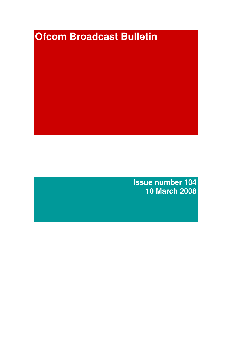# **Ofcom Broadcast Bulletin**

**Issue number 104 10 March 2008**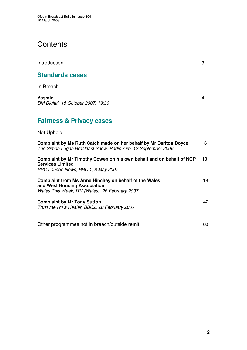# **Contents**

| Introduction           | 3 |
|------------------------|---|
| <b>Standards cases</b> |   |

In Breach

**Yasmin** 4 *DM Digital, 15 October 2007, 19:30*

# **Fairness & Privacy cases**

#### Not Upheld

| Complaint by Ms Ruth Catch made on her behalf by Mr Carlton Boyce<br>The Simon Logan Breakfast Show, Radio Aire, 12 September 2006       | 6  |
|------------------------------------------------------------------------------------------------------------------------------------------|----|
| Complaint by Mr Timothy Cowen on his own behalf and on behalf of NCP<br><b>Services Limited</b><br>BBC London News, BBC 1, 8 May 2007    | 13 |
| Complaint from Ms Anne Hinchey on behalf of the Wales<br>and West Housing Association,<br>Wales This Week, ITV (Wales), 26 February 2007 | 18 |
| <b>Complaint by Mr Tony Sutton</b><br>Trust me I'm a Healer, BBC2, 20 February 2007                                                      | 42 |
| Other programmes not in breach/outside remit                                                                                             | 60 |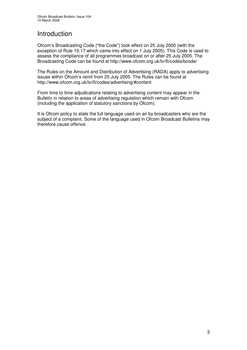## Introduction

Ofcom's Broadcasting Code ("the Code") took effect on 25 July 2005 (with the exception of Rule 10.17 which came into effect on 1 July 2005). This Code is used to assess the compliance of all programmes broadcast on or after 25 July 2005. The Broadcasting Code can be found at http://www.ofcom.org.uk/tv/ifi/codes/bcode/

The Rules on the Amount and Distribution of Advertising (RADA) apply to advertising issues within Ofcom's remit from 25 July 2005. The Rules can be found at http://www.ofcom.org.uk/tv/ifi/codes/advertising/#content

From time to time adjudications relating to advertising content may appear in the Bulletin in relation to areas of advertising regulation which remain with Ofcom (including the application of statutory sanctions by Ofcom).

It is Ofcom policy to state the full language used on air by broadcasters who are the subject of a complaint. Some of the language used in Ofcom Broadcast Bulletins may therefore cause offence.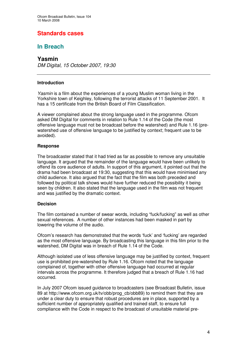## **Standards cases**

## **In Breach**

#### **Yasmin**

*DM Digital, 15 October 2007, 19:30*

#### **Introduction**

*Yasmin* is a film about the experiences of a young Muslim woman living in the Yorkshire town of Keighley, following the terrorist attacks of 11 September 2001. It has a 15 certificate from the British Board of Film Classification.

A viewer complained about the strong language used in the programme. Ofcom asked DM Digital for comments in relation to Rule 1.14 of the Code (the most offensive language must not be broadcast before the watershed) and Rule 1.16 (prewatershed use of offensive language to be justified by context; frequent use to be avoided).

#### **Response**

The broadcaster stated that it had tried as far as possible to remove any unsuitable language. It argued that the remainder of the language would have been unlikely to offend its core audience of adults. In support of this argument, it pointed out that the drama had been broadcast at 19:30, suggesting that this would have minimised any child audience. It also argued that the fact that the film was both preceded and followed by political talk shows would have further reduced the possibility it being seen by children. It also stated that the language used in the film was not frequent and was justified by the dramatic context.

#### **Decision**

The film contained a number of swear words, including "fuck/fucking" as well as other sexual references. A number of other instances had been masked in part by lowering the volume of the audio.

Ofcom's research has demonstrated that the words 'fuck' and 'fucking' are regarded as the most offensive language. By broadcasting this language in this film prior to the watershed, DM Digital was in breach of Rule 1.14 of the Code.

Although isolated use of less offensive language may be justified by context, frequent use is prohibited pre-watershed by Rule 1.16. Ofcom noted that the language complained of, together with other offensive language had occurred at regular intervals across the programme. It therefore judged that a breach of Rule 1.16 had occurred.

In July 2007 Ofcom issued guidance to broadcasters (see Broadcast Bulletin, issue 89 at http://www.ofcom.org.uk/tv/obb/prog\_cb/obb89) to remind them that they are under a clear duty to ensure that robust procedures are in place, supported by a sufficient number of appropriately qualified and trained staff, to ensure full compliance with the Code in respect to the broadcast of unsuitable material pre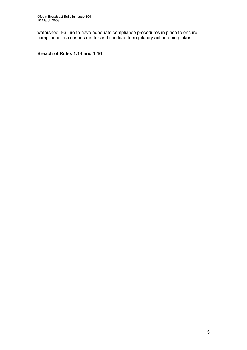watershed. Failure to have adequate compliance procedures in place to ensure compliance is a serious matter and can lead to regulatory action being taken.

#### **Breach of Rules 1.14 and 1.16**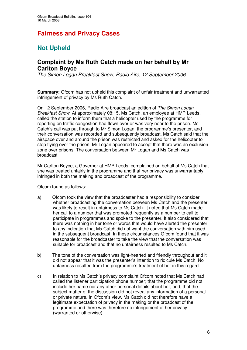# **Fairness and Privacy Cases**

# **Not Upheld**

### **Complaint by Ms Ruth Catch made on her behalf by Mr Carlton Boyce**

*The Simon Logan Breakfast Show, Radio Aire, 12 September 2006*

**Summary:** Ofcom has not upheld this complaint of unfair treatment and unwarranted infringement of privacy by Ms Ruth Catch.

On 12 September 2006, Radio Aire broadcast an edition of *The Simon Logan Breakfast Show*. At approximately 08:15, Ms Catch, an employee at HMP Leeds, called the station to inform them that a helicopter used by the programme for reporting on traffic congestion had flown over or was very near to the prison. Ms Catch's call was put through to Mr Simon Logan, the programme's presenter, and their conversation was recorded and subsequently broadcast. Ms Catch said that the airspace over and around the prison was restricted and asked for the helicopter to stop flying over the prison. Mr Logan appeared to accept that there was an exclusion zone over prisons. The conversation between Mr Logan and Ms Catch was broadcast.

Mr Carlton Boyce, a Governor at HMP Leeds, complained on behalf of Ms Catch that she was treated unfairly in the programme and that her privacy was unwarrantably infringed in both the making and broadcast of the programme.

Ofcom found as follows:

- a) Ofcom took the view that the broadcaster had a responsibility to consider whether broadcasting the conversation between Ms Catch and the presenter was likely to result in unfairness to Ms Catch. It noted that Ms Catch made her call to a number that was promoted frequently as a number to call to participate in programmes and spoke to the presenter. It also considered that there was nothing in her tone or words that would have alerted the presenter to any indication that Ms Catch did not want the conversation with him used in the subsequent broadcast. In these circumstances Ofcom found that it was reasonable for the broadcaster to take the view that the conversation was suitable for broadcast and that no unfairness resulted to Ms Catch.
- b) The tone of the conversation was light-hearted and friendly throughout and it did not appear that it was the presenter's intention to ridicule Ms Catch. No unfairness resulted from the programme's treatment of her in this regard.
- c) In relation to Ms Catch's privacy complaint Ofcom noted that Ms Catch had called the listener participation phone number; that the programme did not include her name nor any other personal details about her; and, that the subject matter of the discussion did not reveal any information of a personal or private nature. In Ofcom's view, Ms Catch did not therefore have a legitimate expectation of privacy in the making or the broadcast of the programme and there was therefore no infringement of her privacy (warranted or otherwise).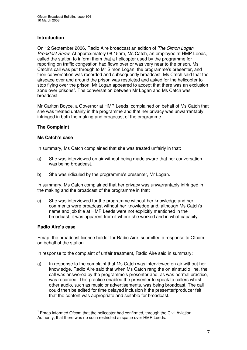#### **Introduction**

On 12 September 2006, Radio Aire broadcast an edition of *The Simon Logan Breakfast Show*. At approximately 08:15am, Ms Catch, an employee at HMP Leeds, called the station to inform them that a helicopter used by the programme for reporting on traffic congestion had flown over or was very near to the prison. Ms Catch's call was put through to Mr Simon Logan, the programme's presenter, and their conversation was recorded and subsequently broadcast. Ms Catch said that the airspace over and around the prison was restricted and asked for the helicopter to stop flying over the prison. Mr Logan appeared to accept that there was an exclusion zone over prisons<sup>1</sup>. The conversation between Mr Logan and Ms Catch was broadcast.

Mr Carlton Boyce, a Governor at HMP Leeds, complained on behalf of Ms Catch that she was treated unfairly in the programme and that her privacy was unwarrantably infringed in both the making and broadcast of the programme.

#### **The Complaint**

#### **Ms Catch's case**

In summary, Ms Catch complained that she was treated unfairly in that:

- a) She was interviewed on air without being made aware that her conversation was being broadcast.
- b) She was ridiculed by the programme's presenter, Mr Logan.

In summary, Ms Catch complained that her privacy was unwarrantably infringed in the making and the broadcast of the programme in that:

c) She was interviewed for the programme without her knowledge and her comments were broadcast without her knowledge and, although Ms Catch's name and job title at HMP Leeds were not explicitly mentioned in the broadcast, it was apparent from it where she worked and in what capacity.

#### **Radio Aire's case**

Emap, the broadcast licence holder for Radio Aire, submitted a response to Ofcom on behalf of the station.

In response to the complaint of unfair treatment, Radio Aire said in summary:

a) In response to the complaint that Ms Catch was interviewed on air without her knowledge, Radio Aire said that when Ms Catch rang the on air studio line, the call was answered by the programme's presenter and, as was normal practice, was recorded. This practice enabled the presenter to speak to callers whilst other audio, such as music or advertisements, was being broadcast. The call could then be edited for time delayed inclusion if the presenter/producer felt that the content was appropriate and suitable for broadcast.

<sup>&</sup>lt;sup>1</sup> Emap informed Ofcom that the helicopter had confirmed, through the Civil Aviation Authority, that there was no such restricted airspace over HMP Leeds.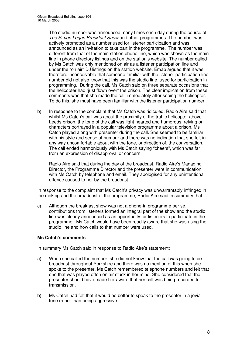The studio number was announced many times each day during the course of *The Simon Logan Breakfast Show* and other programmes. The number was actively promoted as a number used for listener participation and was announced as an invitation to take part in the programme. The number was different from that of the main station phone line, which was shown as the main line in phone directory listings and on the station's website. The number called by Ms Catch was only mentioned on air as a listener participation line and under the "on air" DJ listings on the station website. Emap argued that it was therefore inconceivable that someone familiar with the listener participation line number did not also know that this was the studio line, used for participation in programming. During the call, Ms Catch said on three separate occasions that the helicopter had "just flown over" the prison. The clear implication from these comments was that she made the call immediately after seeing the helicopter. To do this, she must have been familiar with the listener participation number.

b) In response to the complaint that Ms Catch was ridiculed, Radio Aire said that whilst Ms Catch's call was about the proximity of the traffic helicopter above Leeds prison, the tone of the call was light hearted and humorous, relying on characters portrayed in a popular television programme about a prison. Ms Catch played along with presenter during the call. She seemed to be familiar with his style and sense of humour and there was no indication that she felt in any way uncomfortable about with the tone, or direction of, the conversation. The call ended harmoniously with Ms Catch saying "cheers", which was far from an expression of disapproval or concern.

Radio Aire said that during the day of the broadcast, Radio Aire's Managing Director, the Programme Director and the presenter were in communication with Ms Catch by telephone and email. They apologised for any unintentional offence caused to her by the broadcast.

In response to the complaint that Ms Catch's privacy was unwarrantably infringed in the making and the broadcast of the programme, Radio Aire said in summary that:

c) Although the breakfast show was not a phone-in programme per se, contributions from listeners formed an integral part of the show and the studio line was clearly announced as an opportunity for listeners to participate in the programme. Ms Catch would have been readily aware that she was using the studio line and how calls to that number were used.

#### **Ms Catch's comments**

In summary Ms Catch said in response to Radio Aire's statement:

- a) When she called the number, she did not know that the call was going to be broadcast throughout Yorkshire and there was no mention of this when she spoke to the presenter. Ms Catch remembered telephone numbers and felt that one that was played often on air stuck in her mind. She considered that the presenter should have made her aware that her call was being recorded for transmission.
- b) Ms Catch had felt that it would be better to speak to the presenter in a jovial tone rather than being aggressive.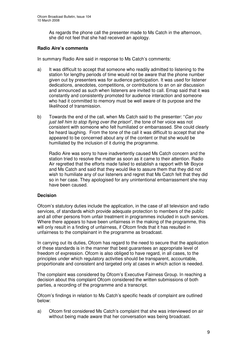As regards the phone call the presenter made to Ms Catch in the afternoon, she did not feel that she had received an apology.

#### **Radio Aire's comments**

In summary Radio Aire said in response to Ms Catch's comments:

- a) It was difficult to accept that someone who readily admitted to listening to the station for lengthy periods of time would not be aware that the phone number given out by presenters was for audience participation. It was used for listener dedications, anecdotes, competitions, or contributions to an on air discussion and announced as such when listeners are invited to call. Emap said that it was constantly and consistently promoted for audience interaction and someone who had it committed to memory must be well aware of its purpose and the likelihood of transmission.
- b) Towards the end of the call, when Ms Catch said to the presenter: "*Can you just tell him to stop flying over the prison*", the tone of her voice was not consistent with someone who felt humiliated or embarrassed. She could clearly be heard laughing. From the tone of the call it was difficult to accept that she appeared to be concerned about any of the content or that she would be humiliated by the inclusion of it during the programme.

Radio Aire was sorry to have inadvertently caused Ms Catch concern and the station tried to resolve the matter as soon as it came to their attention. Radio Air regretted that the efforts made failed to establish a rapport with Mr Boyce and Ms Catch and said that they would like to assure them that they did not wish to humiliate any of our listeners and regret that Ms Catch felt that they did so in her case. They apologised for any unintentional embarrassment she may have been caused.

#### **Decision**

Ofcom's statutory duties include the application, in the case of all television and radio services, of standards which provide adequate protection to members of the public and all other persons from unfair treatment in programmes included in such services. Where there appears to have been unfairness in the making of the programme, this will only result in a finding of unfairness, if Ofcom finds that it has resulted in unfairness to the complainant in the programme as broadcast.

In carrying out its duties, Ofcom has regard to the need to secure that the application of these standards is in the manner that best guarantees an appropriate level of freedom of expression. Ofcom is also obliged to have regard, in all cases, to the principles under which regulatory activities should be transparent, accountable, proportionate and consistent and targeted only at cases in which action is needed.

The complaint was considered by Ofcom's Executive Fairness Group. In reaching a decision about this complaint Ofcom considered the written submissions of both parties, a recording of the programme and a transcript.

Ofcom's findings in relation to Ms Catch's specific heads of complaint are outlined below:

a) Ofcom first considered Ms Catch's complaint that she was interviewed on air without being made aware that her conversation was being broadcast.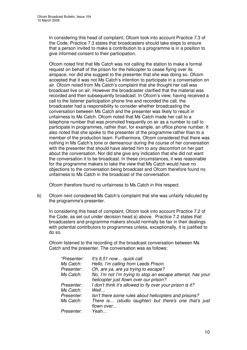In considering this head of complaint, Ofcom took into account Practice 7.3 of the Code. Practice 7.3 states that broadcasters should take steps to ensure that a person invited to make a contribution to a programme is in a position to give informed consent to their participation.

Ofcom noted first that Ms Catch was not calling the station to make a formal request on behalf of the prison for the helicopter to cease flying over its airspace, nor did she suggest to the presenter that she was doing so. Ofcom accepted that it was not Ms Catch's intention to participate in a conversation on air. Ofcom noted from Ms Catch's complaint that she thought her call was broadcast live on air. However the broadcaster clarified that the material was recorded and then subsequently broadcast. In Ofcom's view, having received a call to the listener participation phone line and recorded the call, the broadcaster had a responsibility to consider whether broadcasting the conversation between Ms Catch and the presenter was likely to result in unfairness to Ms Catch. Ofcom noted that Ms Catch made her call to a telephone number that was promoted frequently on air as a number to call to participate in programmes, rather than, for example, an office phone number. It also noted that she spoke to the presenter of the programme rather than to a member of the production team. Furthermore, Ofcom considered that there was nothing in Ms Catch's tone or demeanour during the course of her conversation with the presenter that should have alerted him to any discomfort on her part about the conversation. Nor did she give any indication that she did not want the conversation it to be broadcast. In these circumstances, it was reasonable for the programme makers to take the view that Ms Catch would have no objections to the conversation being broadcast and Ofcom therefore found no unfairness to Ms Catch in the broadcast of the conversation.

Ofcom therefore found no unfairness to Ms Catch in this respect.

b) Ofcom next considered Ms Catch's complaint that she was unfairly ridiculed by the programme's presenter.

In considering this head of complaint, Ofcom took into account Practice 7.2 of the Code, as set out under decision head a) above. Practice 7.2 states that broadcasters and programme makers should normally be fair in their dealings with potential contributors to programmes unless, exceptionally, it is justified to do so.

Ofcom listened to the recording of the broadcast conversation between Ms Catch and the presenter. The conversation was as follows:

| "Presenter: | It's 8.51 now quick call.                                  |
|-------------|------------------------------------------------------------|
| Ms Catch:   | Hello, I'm calling from Leeds Prison.                      |
| Presenter:  | Oh, are ya, are ya trying to escape?                       |
| Ms Catch:   | No, I'm not I'm trying to stop an escape attempt, has your |
|             | helicopter just flown over our prison?                     |
| Presenter:  | I don't think it's allowed to fly over your prison is it?  |
| Ms Catch:   | Well                                                       |
| Presenter:  | Isn't there some rules about helicopters and prisons?      |
| Ms Catch:   | There is (studio laughter) but there's one that's just     |
|             | flown over                                                 |
| Presenter:  | Yeah                                                       |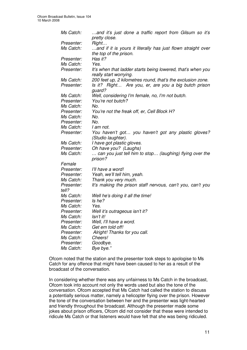| Ms Catch:           | and it's just done a traffic report from Gilsum so it's<br>pretty close.               |
|---------------------|----------------------------------------------------------------------------------------|
| Presenter:          | Right                                                                                  |
| Ms Catch:           | and if it is yours it literally has just flown straight over<br>the top of the prison. |
| Presenter:          | Has it?                                                                                |
| Ms Catch:           | Yes.                                                                                   |
| Presenter:          | It's when that ladder starts being lowered, that's when you<br>really start worrying.  |
| Ms Catch:           | 200 feet up, 2 kilometres round, that's the exclusion zone.                            |
| Presenter:          | Is it? Right Are you, er, are you a big butch prison<br>quard?                         |
| Ms Catch:           | Well, considering I'm female, no, I'm not butch.                                       |
| Presenter:          | You're not butch?                                                                      |
| Ms Catch:           | No.                                                                                    |
| Presenter:          | You're not the freak off, er, Cell Block H?                                            |
| Ms Catch:           | No.                                                                                    |
| Presenter:          | No.                                                                                    |
| Ms Catch:           | I am not.                                                                              |
| Presenter:          | You haven't got you haven't got any plastic gloves?<br>(Studio laughter).              |
| Ms Catch:           | I have got plastic gloves.                                                             |
| Presenter:          | Oh have you? (Laughs)                                                                  |
| Ms Catch:           | can you just tell him to stop (laughing) flying over the<br>prison?                    |
| Female              |                                                                                        |
| Presenter:          | I'll have a word!                                                                      |
| Presenter:          | Yeah, we'll tell him, yeah.                                                            |
| Ms Catch:           | Thank you very much.                                                                   |
| Presenter:<br>tell? | It's making the prison staff nervous, can't you, can't you                             |
| Ms Catch:           | Well he's doing it all the time!                                                       |
| Presenter:          | Is he?                                                                                 |
| Ms Catch:           | Yes.                                                                                   |
| Presenter:          | Well it's outrageous isn't it?                                                         |
| Ms Catch:           | Isn't it!                                                                              |
| Presenter:          | Well, I'll have a word.                                                                |
| Ms Catch:           | Get em told off!                                                                       |
| Presenter:          | Alright! Thanks for you call.                                                          |
| Ms Catch:           | Cheers!                                                                                |
| Presenter:          | Goodbye.                                                                               |
| Ms Catch:           | Bye bye."                                                                              |

Ofcom noted that the station and the presenter took steps to apologise to Ms Catch for any offence that might have been caused to her as a result of the broadcast of the conversation.

In considering whether there was any unfairness to Ms Catch in the broadcast, Ofcom took into account not only the words used but also the tone of the conversation. Ofcom accepted that Ms Catch had called the station to discuss a potentially serious matter, namely a helicopter flying over the prison. However the tone of the conversation between her and the presenter was light-hearted and friendly throughout the broadcast. Although the presenter made some jokes about prison officers, Ofcom did not consider that these were intended to ridicule Ms Catch or that listeners would have felt that she was being ridiculed.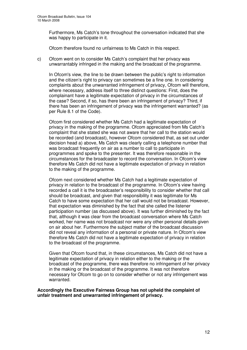Furthermore, Ms Catch's tone throughout the conversation indicated that she was happy to participate in it.

Ofcom therefore found no unfairness to Ms Catch in this respect.

c) Ofcom went on to consider Ms Catch's complaint that her privacy was unwarrantably infringed in the making and the broadcast of the programme.

In Ofcom's view, the line to be drawn between the public's right to information and the citizen's right to privacy can sometimes be a fine one. In considering complaints about the unwarranted infringement of privacy, Ofcom will therefore, where necessary, address itself to three distinct questions: First, does the complainant have a legitimate expectation of privacy in the circumstances of the case? Second, if so, has there been an infringement of privacy? Third, if there has been an infringement of privacy was the infringement warranted? (as per Rule 8.1 of the Code).

Ofcom first considered whether Ms Catch had a legitimate expectation of privacy in the making of the programme. Ofcom appreciated from Ms Catch's complaint that she stated she was not aware that her call to the station would be recorded (and broadcast), however Ofcom considered that, as set out under decision head a) above, Ms Catch was clearly calling a telephone number that was broadcast frequently on air as a number to call to participate in programmes and spoke to the presenter. It was therefore reasonable in the circumstances for the broadcaster to record the conversation. In Ofcom's view therefore Ms Catch did not have a legitimate expectation of privacy in relation to the making of the programme.

Ofcom next considered whether Ms Catch had a legitimate expectation of privacy in relation to the broadcast of the programme. In Ofcom's view having recorded a call it is the broadcaster's responsibility to consider whether that call should be broadcast, and given that responsibility it was legitimate for Ms Catch to have some expectation that her call would not be broadcast. However, that expectation was diminished by the fact that she called the listener participation number (as discussed above). It was further diminished by the fact that, although it was clear from the broadcast conversation where Ms Catch worked, her name was not broadcast nor were any other personal details given on air about her. Furthermore the subject matter of the broadcast discussion did not reveal any information of a personal or private nature. In Ofcom's view therefore Ms Catch did not have a legitimate expectation of privacy in relation to the broadcast of the programme.

Given that Ofcom found that, in these circumstances, Ms Catch did not have a legitimate expectation of privacy in relation either to the making or the broadcast of the programme, there was therefore no infringement of her privacy in the making or the broadcast of the programme. It was not therefore necessary for Ofcom to go on to consider whether or not any infringement was warranted.

**Accordingly the Executive Fairness Group has not upheld the complaint of unfair treatment and unwarranted infringement of privacy.**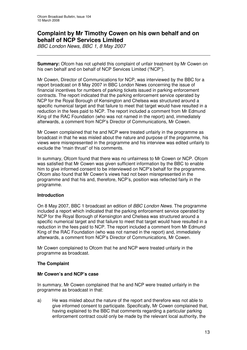## **Complaint by Mr Timothy Cowen on his own behalf and on behalf of NCP Services Limited**

*BBC London News, BBC 1, 8 May 2007*

**Summary:** Ofcom has not upheld this complaint of unfair treatment by Mr Cowen on his own behalf and on behalf of NCP Services Limited ("NCP").

Mr Cowen, Director of Communications for NCP, was interviewed by the BBC for a report broadcast on 8 May 2007 in BBC London News concerning the issue of financial incentives for numbers of parking tickets issued in parking enforcement contracts. The report indicated that the parking enforcement service operated by NCP for the Royal Borough of Kensington and Chelsea was structured around a specific numerical target and that failure to meet that target would have resulted in a reduction in the fees paid to NCP. The report included a comment from Mr Edmund King of the RAC Foundation (who was not named in the report) and, immediately afterwards, a comment from NCP's Director of Communications, Mr Cowen.

Mr Cowen complained that he and NCP were treated unfairly in the programme as broadcast in that he was misled about the nature and purpose of the programme, his views were misrepresented in the programme and his interview was edited unfairly to exclude the "main thrust" of his comments.

In summary, Ofcom found that there was no unfairness to Mr Cowen or NCP. Ofcom was satisfied that Mr Cowen was given sufficient information by the BBC to enable him to give informed consent to be interviewed on NCP's behalf for the programme. Ofcom also found that Mr Cowen's views had not been misrepresented in the programme and that his and, therefore, NCP's, position was reflected fairly in the programme.

#### **Introduction**

On 8 May 2007, BBC 1 broadcast an edition of *BBC London News*. The programme included a report which indicated that the parking enforcement service operated by NCP for the Royal Borough of Kensington and Chelsea was structured around a specific numerical target and that failure to meet that target would have resulted in a reduction in the fees paid to NCP. The report included a comment from Mr Edmund King of the RAC Foundation (who was not named in the report) and, immediately afterwards, a comment from NCP's Director of Communications, Mr Cowen.

Mr Cowen complained to Ofcom that he and NCP were treated unfairly in the programme as broadcast.

#### **The Complaint**

#### **Mr Cowen's and NCP's case**

In summary, Mr Cowen complained that he and NCP were treated unfairly in the programme as broadcast in that:

a) He was misled about the nature of the report and therefore was not able to give informed consent to participate. Specifically, Mr Cowen complained that, having explained to the BBC that comments regarding a particular parking enforcement contract could only be made by the relevant local authority, the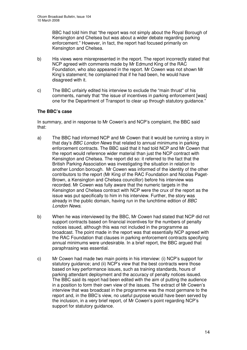BBC had told him that "the report was not simply about the Royal Borough of Kensington and Chelsea but was about a wider debate regarding parking enforcement." However, in fact, the report had focused primarily on Kensington and Chelsea.

- b) His views were misrepresented in the report. The report incorrectly stated that NCP agreed with comments made by Mr Edmund King of the RAC Foundation, who also appeared in the report. Mr Cowen was not shown Mr King's statement; he complained that if he had been, he would have disagreed with it.
- c) The BBC unfairly edited his interview to exclude the "main thrust" of his comments, namely that "the issue of incentives in parking enforcement [was] one for the Department of Transport to clear up through statutory guidance."

#### **The BBC's case**

In summary, and in response to Mr Cowen's and NCP's complaint, the BBC said that:

- a) The BBC had informed NCP and Mr Cowen that it would be running a story in that day's *BBC London News* that related to annual minimums in parking enforcement contracts. The BBC said that it had told NCP and Mr Cowen that the report would reference wider material than just the NCP contract with Kensington and Chelsea. The report did so: it referred to the fact that the British Parking Association was investigating the situation in relation to another London borough. Mr Cowen was informed of the identity of the other contributors to the report (Mr King of the RAC Foundation and Nicolas Paget-Brown, a Kensington and Chelsea councillor) before his interview was recorded. Mr Cowen was fully aware that the numeric targets in the Kensington and Chelsea contract with NCP were the crux of the report as the issue was put specifically to him in his interview. Further, the story was already in the public domain, having run in the lunchtime edition of *BBC London News*.
- b) When he was interviewed by the BBC, Mr Cowen had stated that NCP did not support contracts based on financial incentives for the numbers of penalty notices issued, although this was not included in the programme as broadcast. The point made in the report was that essentially NCP agreed with the RAC Foundation that clauses in parking enforcement contracts specifying annual minimums were undesirable. In a brief report, the BBC argued that paraphrasing was essential.
- c) Mr Cowen had made two main points in his interview: (i) NCP's support for statutory guidance; and (ii) NCP's view that the best contracts were those based on key performance issues, such as training standards, hours of parking attendant deployment and the accuracy of penalty notices issued. The BBC said its report had been edited with the aim of putting the audience in a position to form their own view of the issues. The extract of Mr Cowen's interview that was broadcast in the programme was the most germane to the report and, in the BBC's view, no useful purpose would have been served by the inclusion, in a very brief report, of Mr Cowen's point regarding NCP's support for statutory guidance.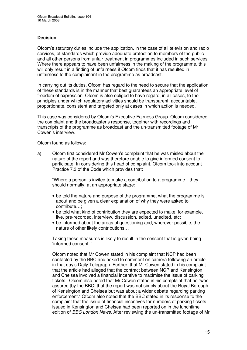#### **Decision**

Ofcom's statutory duties include the application, in the case of all television and radio services, of standards which provide adequate protection to members of the public and all other persons from unfair treatment in programmes included in such services. Where there appears to have been unfairness in the making of the programme, this will only result in a finding of unfairness if Ofcom finds that it has resulted in unfairness to the complainant in the programme as broadcast.

In carrying out its duties, Ofcom has regard to the need to secure that the application of these standards is in the manner that best guarantees an appropriate level of freedom of expression. Ofcom is also obliged to have regard, in all cases, to the principles under which regulatory activities should be transparent, accountable, proportionate, consistent and targeted only at cases in which action is needed.

This case was considered by Ofcom's Executive Fairness Group. Ofcom considered the complaint and the broadcaster's response, together with recordings and transcripts of the programme as broadcast and the un-transmitted footage of Mr Cowen's interview.

Ofcom found as follows:

a) Ofcom first considered Mr Cowen's complaint that he was misled about the nature of the report and was therefore unable to give informed consent to participate. In considering this head of complaint, Ofcom took into account Practice 7.3 of the Code which provides that:

"Where a person is invited to make a contribution to a programme…they should normally, at an appropriate stage:

- be told the nature and purpose of the programme, what the programme is about and be given a clear explanation of why they were asked to contribute…;
- be told what kind of contribution they are expected to make, for example, live, pre-recorded, interview, discussion, edited, unedited, etc;
- be informed about the areas of questioning and, wherever possible, the nature of other likely contributions…

Taking these measures is likely to result in the consent that is given being 'informed consent'."

Ofcom noted that Mr Cowen stated in his complaint that NCP had been contacted by the BBC and asked to comment on camera following an article in that day's Daily Telegraph. Further, that Mr Cowen stated in his complaint that the article had alleged that the contract between NCP and Kensington and Chelsea involved a financial incentive to maximise the issue of parking tickets. Ofcom also noted that Mr Cowen stated in his complaint that he "was assured [by the BBC] that the report was not simply about the Royal Borough of Kensington and Chelsea but was about a wider debate regarding parking enforcement." Ofcom also noted that the BBC stated in its response to the complaint that the issue of financial incentives for numbers of parking tickets issued in Kensington and Chelsea had been reported on in the lunchtime edition of *BBC London News.* After reviewing the un-transmitted footage of Mr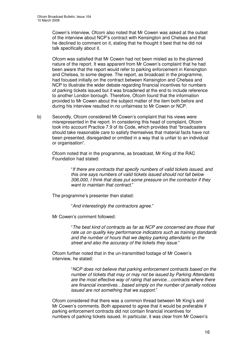Cowen's interview, Ofcom also noted that Mr Cowen was asked at the outset of the interview about NCP's contract with Kensington and Chelsea and that he declined to comment on it, stating that he thought it best that he did not talk specifically about it.

Ofcom was satisfied that Mr Cowen had not been misled as to the planned nature of the report. It was apparent from Mr Cowen's complaint that he had been aware that the report would refer to parking enforcement in Kensington and Chelsea, to some degree. The report, as broadcast in the programme, had focused initially on the contract between Kensington and Chelsea and NCP to illustrate the wider debate regarding financial incentives for numbers of parking tickets issued but it was broadened at the end to include reference to another London borough. Therefore, Ofcom found that the information provided to Mr Cowen about the subject matter of the item both before and during his interview resulted in no unfairness to Mr Cowen or NCP.

b) Secondly, Ofcom considered Mr Cowen's complaint that his views were misrepresented in the report. In considering this head of complaint, Ofcom took into account Practice 7.9 of its Code, which provides that "broadcasters should take reasonable care to satisfy themselves that material facts have not been presented, disregarded or omitted in a way that is unfair to an individual or organisation".

Ofcom noted that in the programme, as broadcast, Mr King of the RAC Foundation had stated:

> "*If there are contracts that specify numbers of valid tickets issued, and this one says numbers of valid tickets issued should not fall below 306,000, I think that does put some pressure on the contractor if they want to maintain that contract.*"

The programme's presenter then stated:

"*And interestingly the contractors agree.*"

Mr Cowen's comment followed:

"*The best kind of contracts as far as NCP are concerned are those that rate us on quality key performance indicators such as training standards and the number of hours that we deploy parking attendants on the street and also the accuracy of the tickets they issue.*"

Ofcom further noted that in the un-transmitted footage of Mr Cowen's interview, he stated:

> "*NCP does not believe that parking enforcement contracts based on the number of tickets that may or may not be issued by Parking Attendants are the most effective way of rating that service…contracts where there are financial incentives…based simply on the number of penalty notices issued are not something that we support.*"

Ofcom considered that there was a common thread between Mr King's and Mr Cowen's comments. Both appeared to agree that it would be preferable if parking enforcement contracts did not contain financial incentives for numbers of parking tickets issued. In particular, it was clear from Mr Cowen's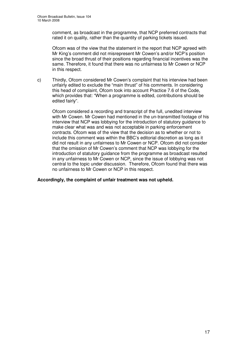comment, as broadcast in the programme, that NCP preferred contracts that rated it on quality, rather than the quantity of parking tickets issued.

Ofcom was of the view that the statement in the report that NCP agreed with Mr King's comment did not misrepresent Mr Cowen's and/or NCP's position since the broad thrust of their positions regarding financial incentives was the same. Therefore, it found that there was no unfairness to Mr Cowen or NCP in this respect.

c) Thirdly, Ofcom considered Mr Cowen's complaint that his interview had been unfairly edited to exclude the "main thrust" of his comments. In considering this head of complaint, Ofcom took into account Practice 7.6 of the Code, which provides that: "When a programme is edited, contributions should be edited fairly".

Ofcom considered a recording and transcript of the full, unedited interview with Mr Cowen. Mr Cowen had mentioned in the un-transmitted footage of his interview that NCP was lobbying for the introduction of statutory guidance to make clear what was and was not acceptable in parking enforcement contracts. Ofcom was of the view that the decision as to whether or not to include this comment was within the BBC's editorial discretion as long as it did not result in any unfairness to Mr Cowen or NCP. Ofcom did not consider that the omission of Mr Cowen's comment that NCP was lobbying for the introduction of statutory guidance from the programme as broadcast resulted in any unfairness to Mr Cowen or NCP, since the issue of lobbying was not central to the topic under discussion. Therefore, Ofcom found that there was no unfairness to Mr Cowen or NCP in this respect.

#### **Accordingly, the complaint of unfair treatment was not upheld.**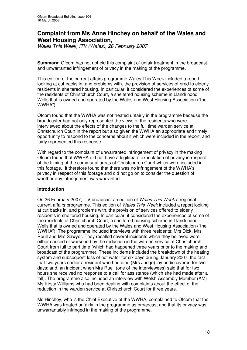## **Complaint from Ms Anne Hinchey on behalf of the Wales and West Housing Association,**

*Wales This Week, ITV (Wales), 26 February 2007*

**Summary:** Ofcom has not upheld this complaint of unfair treatment in the broadcast and unwarranted infringement of privacy in the making of the programme.

This edition of the current affairs programme Wales This Week included a report looking at cut backs in, and problems with, the provision of services offered to elderly residents in sheltered housing. In particular, it considered the experiences of some of the residents of Christchurch Court, a sheltered housing scheme in Llandrindod Wells that is owned and operated by the Wales and West Housing Association ("the WWHA").

Ofcom found that the WWHA was not treated unfairly in the programme because the broadcaster had not only represented the views of the residents who were interviewed about the effects of the changes to the full time warden service at Christchurch Court in the report but also given the WWHA an appropriate and timely opportunity to respond to the concerns about it which were included in the report, and fairly represented this response.

With regard to the complaint of unwarranted infringement of privacy in the making Ofcom found that WWHA did not have a legitimate expectation of privacy in respect of the filming of the communal areas of Christchurch Court which were included in this footage. It therefore found that there was no infringement of the WWHA's privacy in respect of this footage and did not go on to consider the question of whether any infringement was warranted.

#### **Introduction**

On 26 February 2007, ITV broadcast an edition of *Wales This Week* a regional current affairs programme. This edition of *Wales This Week* included a report looking at cut backs in, and problems with, the provision of services offered to elderly residents in sheltered housing. In particular, it considered the experiences of some of the residents of Christchurch Court, a sheltered housing scheme in Llandrindod Wells that is owned and operated by the Wales and West Housing Association ("the WWHA"). The programme included interviews with three residents: Mrs Dick, Mrs Reull and Mrs Sawyer. They recalled several incidents which they believed were either caused or worsened by the reduction in the warden service at Christchurch Court from full to part time (which had happened three years prior to the making and broadcast of the programme). These incidents included the breakdown of the heating system and subsequent loss of hot water for six days during January 2007; the fact that two years earlier a resident who had died (Mrs Judge) lay undiscovered for two days; and, an incident when Mrs Ruell (one of the interviewees) said that for two hours she received no response to a call for assistance (which she had made after a fall). The programme also included an interview with Welsh Assembly Member (AM) Ms Kirsty Williams who had been dealing with complaints about the effect of the reduction in the warden service at Christchurch Court for three years.

Ms Hinchey, who is the Chief Executive of the WWHA, complained to Ofcom that the WWHA was treated unfairly in the programme as broadcast and that its privacy was unwarrantably infringed in the making of the programme.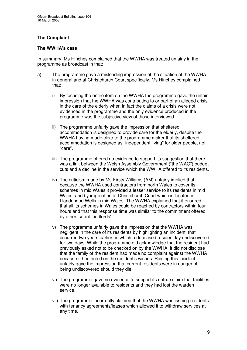#### **The Complaint**

#### **The WWHA's case**

In summary, Ms Hinchey complained that the WWHA was treated unfairly in the programme as broadcast in that:

- a) The programme gave a misleading impression of the situation at the WWHA in general and at Christchurch Court specifically. Ms Hinchey complained that:
	- i) By focusing the entire item on the WWHA the programme gave the unfair impression that the WWHA was contributing to or part of an alleged crisis in the care of the elderly when in fact the claims of a crisis were not evidenced in the programme and the only evidence produced in the programme was the subjective view of those interviewed.
	- ii) The programme unfairly gave the impression that sheltered accommodation is designed to provide care for the elderly, despite the WWHA having made clear to the programme maker that its sheltered accommodation is designed as "independent living" for older people, not "care".
	- iii) The programme offered no evidence to support its suggestion that there was a link between the Welsh Assembly Government ("the WAG") budget cuts and a decline in the service which the WWHA offered to its residents.
	- iv) The criticism made by Ms Kirsty Williams (AM) unfairly implied that because the WWHA used contractors from north Wales to cover its schemes in mid Wales it provided a lesser service to its residents in mid Wales, and by implication at Christchurch Court which is located in Llandrindod Wells in mid Wales. The WWHA explained that it ensured that all its schemes in Wales could be reached by contractors within four hours and that this response time was similar to the commitment offered by other 'social landlords'.
	- v) The programme unfairly gave the impression that the WWHA was negligent in the care of its residents by highlighting an incident, that occurred two years earlier, in which a deceased resident lay undiscovered for two days. While the programme did acknowledge that the resident had previously asked not to be checked on by the WWHA, it did not disclose that the family of the resident had made no complaint against the WWHA because it had acted on the resident's wishes. Raising this incident unfairly gave the impression that current residents were in danger of being undiscovered should they die.
	- vi) The programme gave no evidence to support its untrue claim that facilities were no longer available to residents and they had lost the warden service.
	- vii) The programme incorrectly claimed that the WWHA was issuing residents with tenancy agreements/leases which allowed it to withdraw services at any time.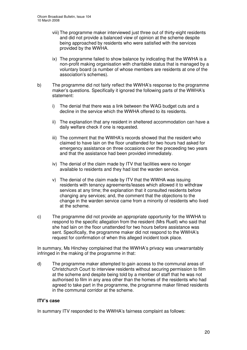- viii)The programme maker interviewed just three out of thirty-eight residents and did not provide a balanced view of opinion at the scheme despite being approached by residents who were satisfied with the services provided by the WWHA.
- ix) The programme failed to show balance by indicating that the WWHA is a non-profit making organisation with charitable status that is managed by a voluntary board (a number of whose members are residents at one of the association's schemes).
- b) The programme did not fairly reflect the WWHA's response to the programme maker's questions. Specifically it ignored the following parts of the WWHA's statement:
	- i) The denial that there was a link between the WAG budget cuts and a decline in the service which the WWHA offered to its residents.
	- ii) The explanation that any resident in sheltered accommodation can have a daily welfare check if one is requested.
	- iii) The comment that the WWHA's records showed that the resident who claimed to have lain on the floor unattended for two hours had asked for emergency assistance on three occasions over the preceeding two years and that the assistance had been provided immediately.
	- iv) The denial of the claim made by ITV that facilities were no longer available to residents and they had lost the warden service.
	- v) The denial of the claim made by ITV that the WWHA was issuing residents with tenancy agreements/leases which allowed it to withdraw services at any time; the explanation that it consulted residents before changing any services; and, the comment that the objections to the change in the warden service came from a minority of residents who lived at the scheme.
- c) The programme did not provide an appropriate opportunity for the WWHA to respond to the specific allegation from the resident (Mrs Ruell) who said that she had lain on the floor unattended for two hours before assistance was sent. Specifically, the programme maker did not respond to the WWHA's request for confirmation of when this alleged incident took place.

In summary, Ms Hinchey complained that the WWHA's privacy was unwarrantably infringed in the making of the programme in that:

d) The programme maker attempted to gain access to the communal areas of Christchurch Court to interview residents without securing permission to film at the scheme and despite being told by a member of staff that he was not authorised to film in any area other than the homes of the residents who had agreed to take part in the programme, the programme maker filmed residents in the communal corridor at the scheme.

#### **ITV's case**

In summary ITV responded to the WWHA's fairness complaint as follows: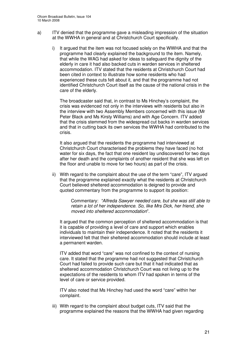- a) ITV denied that the programme gave a misleading impression of the situation at the WWHA in general and at Christchurch Court specifically.
	- i) It argued that the item was not focused solely on the WWHA and that the programme had clearly explained the background to the item. Namely, that while the WAG had asked for ideas to safeguard the dignity of the elderly in care it had also backed cuts in warden services in sheltered accommodation. ITV stated that the residents at Christchurch Court had been cited in context to illustrate how some residents who had experienced these cuts felt about it, and that the programme had not identified Christchurch Court itself as the cause of the national crisis in the care of the elderly.

The broadcaster said that, in contrast to Ms Hinchey's complaint, the crisis was evidenced not only in the interviews with residents but also in the interview with two Assembly Members concerned with this issue (Mr Peter Black and Ms Kirsty Williams) and with Age Concern. ITV added that the crisis stemmed from the widespread cut backs in warden services and that in cutting back its own services the WWHA had contributed to the crisis.

It also argued that the residents the programme had interviewed at Christchurch Court characterised the problems they have faced (no hot water for six days, the fact that one resident lay undiscovered for two days after her death and the complaints of another resident that she was left on the floor and unable to move for two hours) as part of the crisis.

ii) With regard to the complaint about the use of the term "care", ITV argued that the programme explained exactly what the residents at Christchurch Court believed sheltered accommodation is deigned to provide and quoted commentary from the programme to support its position:

> Commentary: *"Alfreda Sawyer needed care, but she was still able to retain a lot of her independence. So, like Mrs Dick, her friend, she moved into sheltered accommodation*".

It argued that the common perception of sheltered accommodation is that it is capable of providing a level of care and support which enables individuals to maintain their independence. It noted that the residents it interviewed felt that their sheltered accommodation should include at least a permanent warden.

ITV added that word "care" was not confined to the context of nursing care. It stated that the programme had not suggested that Christchurch Court had failed to provide such care but that it had indicated that as sheltered accommodation Christchurch Court was not living up to the expectations of the residents to whom ITV had spoken in terms of the level of care or service provided.

ITV also noted that Ms Hinchey had used the word "care" within her complaint.

iii) With regard to the complaint about budget cuts, ITV said that the programme explained the reasons that the WWHA had given regarding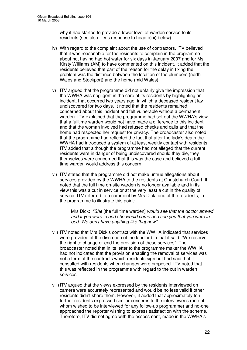why it had started to provide a lower level of warden service to its residents (see also ITV's response to head b) ii) below).

- iv) With regard to the complaint about the use of contractors, ITV believed that it was reasonable for the residents to complain in the programme about not having had hot water for six days in January 2007 and for Ms Kirsty Williams (AM) to have commented on this incident. It added that the residents believed that part of the reason for the delay in fixing the problem was the distance between the location of the plumbers (north Wales and Stockport) and the home (mid Wales).
- v) ITV argued that the programme did not unfairly give the impression that the WWHA was negligent in the care of its residents by highlighting an incident, that occurred two years ago, in which a deceased resident lay undiscovered for two days. It noted that the residents remained concerned about this incident and felt vulnerable without a permanent warden. ITV explained that the programme had set out the WWHA's view that a fulltime warden would not have made a difference to this incident and that the woman involved had refused checks and calls and that the home had respected her request for privacy. The broadcaster also noted that the programme had reflected the fact that after the lady's death the WWHA had introduced a system of at least weekly contact with residents. ITV added that although the programme had not alleged that the current residents were in danger of being undiscovered should they die, they themselves were concerned that this was the case and believed a fulltime warden would address this concern.
- vi) ITV stated that the programme did not make untrue allegations about services provided by the WWHA to the residents at Christchurch Court. It noted that the full time on-site warden is no longer available and in its view this was a cut in service or at the very least a cut in the quality of service. ITV referred to a comment by Mrs Dick, one of the residents, in the programme to illustrate this point:

Mrs Dick: *"She* [the full time warden] *would see that the doctor arrived and if you were in bed she would come and see you that you were in bed. We don't have anything like that now".*

- vii) ITV noted that Mrs Dick's contract with the WWHA indicated that services were provided at the discretion of the landlord in that it said: "We reserve the right to change or end the provision of these services". The broadcaster noted that in its letter to the programme maker the WWHA had not indicated that the provision enabling the removal of services was not a term of the contracts which residents sign but had said that it consulted with residents when changes were proposed. ITV noted that this was reflected in the programme with regard to the cut in warden services.
- viii)ITV argued that the views expressed by the residents interviewed on camera were accurately represented and would be no less valid if other residents didn't share them. However, it added that approximately ten further residents expressed similar concerns to the interviewees (one of whom wished to be interviewed for any follow-up programme) and no-one approached the reporter wishing to express satisfaction with the scheme. Therefore, ITV did not agree with the assessment, made in the WWHA's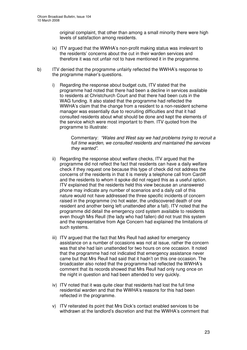original complaint, that other than among a small minority there were high levels of satisfaction among residents.

- ix) ITV argued that the WWHA's non-profit making status was irrelevant to the residents' concerns about the cut in their warden services and therefore it was not unfair not to have mentioned it in the programme.
- b) ITV denied that the programme unfairly reflected the WWHA's response to the programme maker's questions.
	- i) Regarding the response about budget cuts, ITV stated that the programme had noted that there had been a decline in services available to residents at Christchurch Court and that there had been cuts in the WAG funding. It also stated that the programme had reflected the WWHA's claim that the change from a resident to a non-resident scheme manager was essentially due to recruiting difficulties and that it had consulted residents about what should be done and kept the elements of the service which were most important to them. ITV quoted from the programme to illustrate:

Commentary: *"Wales and West say we had problems trying to recruit a full time warden, we consulted residents and maintained the services they wanted".*

- ii) Regarding the response about welfare checks, ITV argued that the programme did not reflect the fact that residents can have a daily welfare check if they request one because this type of check did not address the concerns of the residents in that it is merely a telephone call from Cardiff and the residents to whom it spoke did not regard this as a useful option. ITV explained that the residents held this view because an unanswered phone may indicate any number of scenarios and a daily call of this nature would not have addressed the three specific incidents of concern raised in the programme (no hot water, the undiscovered death of one resident and another being left unattended after a fall). ITV noted that the programme did detail the emergency cord system available to residents even though Mrs Reull (the lady who had fallen) did not trust this system and the representative from Age Concern had explained the limitations of such systems.
- iii) ITV argued that the fact that Mrs Reull had asked for emergency assistance on a number of occasions was not at issue, rather the concern was that she had lain unattended for two hours on one occasion. It noted that the programme had not indicated that emergency assistance never came but that Mrs Reull had said that it hadn't on this one occasion. The broadcaster also noted that the programme had reflected the WWHA's comment that its records showed that Mrs Reull had only rung once on the night in question and had been attended to very quickly.
- iv) ITV noted that it was quite clear that residents had lost the full time residential warden and that the WWHA's reasons for this had been reflected in the programme.
- v) ITV reiterated its point that Mrs Dick's contact enabled services to be withdrawn at the landlord's discretion and that the WWHA's comment that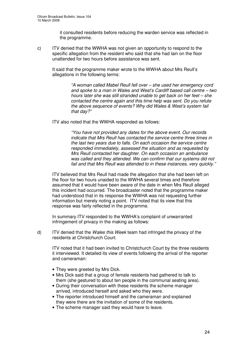it consulted residents before reducing the warden service was reflected in the programme.

c) ITV denied that the WWHA was not given an opportunity to respond to the specific allegation from the resident who said that she had lain on the floor unattended for two hours before assistance was sent.

It said that the programme maker wrote to the WWHA about Mrs Reull's allegations in the following terms:

> *"A woman called Mabel Reull fell over – she used her emergency cord and spoke to a man in Wales and West's Cardiff based call centre – two hours later she was still stranded unable to get back on her feet – she contacted the centre again and this time help was sent. Do you refute the above sequence of events? Why did Wales & West's system fail that day?"*

ITV also noted that the WWHA responded as follows:

*"You have not provided any dates for the above event. Our records indicate that Mrs Reull has contacted the service centre three times in the last two years due to falls. On each occasion the service centre responded immediately, assessed the situation and as requested by Mrs Reull contacted her daughter. On each occasion an ambulance was called and they attended. We can confirm that our systems did not fail and that Mrs Reull was attended to in these instances, very quickly."*

ITV believed that Mrs Reull had made the allegation that she had been left on the floor for two hours unaided to the WWHA several times and therefore assumed that it would have been aware of the date in when Mrs Reull alleged this incident had occurred. The broadcaster noted that the programme maker had understood that in its response the WWHA was not requesting further information but merely noting a point. ITV noted that its view that this response was fairly reflected in the programme.

In summary ITV responded to the WWHA's complaint of unwarranted infringement of privacy in the making as follows:

d) ITV denied that the *Wales this Week* team had infringed the privacy of the residents at Christchurch Court.

ITV noted that it had been invited to Christchurch Court by the three residents it interviewed. It detailed its view of events following the arrival of the reporter and cameraman:

- They were greeted by Mrs Dick.
- Mrs Dick said that a group of female residents had gathered to talk to them (she gestured to about ten people in the communal seating area).
- During their conversation with these residents the scheme manager arrived, introduced herself and asked who they were.
- The reporter introduced himself and the cameraman and explained they were there are the invitation of some of the residents.
- The scheme manager said they would have to leave.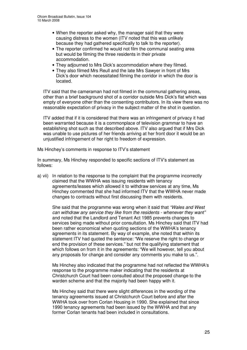- When the reporter asked why, the manager said that they were causing distress to the women (ITV noted that this was unlikely because they had gathered specifically to talk to the reporter).
- The reporter confirmed he would not film the communal seating area but would be filming the three residents in their private accommodation.
- They adjourned to Mrs Dick's accommodation where they filmed.
- They also filmed Mrs Reull and the late Mrs Sawyer in front of Mrs Dick's door which necessitated filming the corridor in which the door is located.

ITV said that the cameraman had not filmed in the communal gathering areas, other than a brief background shot of a corridor outside Mrs Dick's flat which was empty of everyone other than the consenting contributors. In its view there was no reasonable expectation of privacy in the subject matter of the shot in question.

ITV added that if it is considered that there was an infringement of privacy it had been warranted because it is a commonplace of television grammar to have an establishing shot such as that described above. ITV also argued that if Mrs Dick was unable to use pictures of her friends arriving at her front door it would be an unjustified infringement of her right to freedom of expression.

Ms Hinchey's comments in response to ITV's statement

In summary, Ms Hinchey responded to specific sections of ITV's statement as follows:

a) vii) In relation to the response to the complaint that the programme incorrectly claimed that the WWHA was issuing residents with tenancy agreements/leases which allowed it to withdraw services at any time, Ms Hinchey commented that she had informed ITV that the WWHA never made changes to contracts without first discussing them with residents.

She said that the programme was wrong when it said that *"Wales and West can withdraw any service they like from the residents - whenever they want"* and noted that the Landlord and Tenant Act 1985 prevents changes to services being made without prior consultation. Ms Hinchey said that ITV had been rather economical when quoting sections of the WWHA's tenancy agreements in its statement. By way of example, she noted that within its statement ITV had quoted the sentence: "We reserve the right to change or end the provision of these services." but not the qualifying statement that which follows on from it in the agreements: "We will however, tell you about any proposals for change and consider any comments you make to us.".

Ms Hinchey also indicated that the programme had not reflected the WWHA's response to the programme maker indicating that the residents at Christchurch Court had been consulted about the proposed change to the warden scheme and that the majority had been happy with it.

Ms Hinchey said that there were slight differences in the wording of the tenancy agreements issued at Christchurch Court before and after the WWHA took over from Corlan Housing in 1990. She explained that since 1990 tenancy agreements had been issued by the WWHA and that any former Corlan tenants had been included in consultations.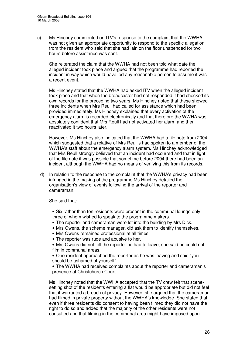c) Ms Hinchey commented on ITV's response to the complaint that the WWHA was not given an appropriate opportunity to respond to the specific allegation from the resident who said that she had lain on the floor unattended for two hours before assistance was sent.

She reiterated the claim that the WWHA had not been told what date the alleged incident took place and argued that the programme had reported the incident in way which would have led any reasonable person to assume it was a recent event.

Ms Hinchey stated that the WWHA had asked ITV when the alleged incident took place and that when the broadcaster had not responded it had checked its own records for the preceding two years. Ms Hinchey noted that these showed three incidents when Mrs Reull had called for assistance which had been provided immediately. Ms Hinchey explained that every activation of the emergency alarm is recorded electronically and that therefore the WWHA was absolutely confident that Mrs Reull had not activated her alarm and then reactivated it two hours later.

However, Ms Hinchey also indicated that the WWHA had a file note from 2004 which suggested that a relative of Mrs Reull's had spoken to a member of the WWHA's staff about the emergency alarm system. Ms Hinchey acknowledged that Mrs Reull strongly believed that an incident had occurred and that in light of the file note it was possible that sometime before 2004 there had been an incident although the WWHA had no means of verifying this from its records.

d) In relation to the response to the complaint that the WWHA's privacy had been infringed in the making of the programme Ms Hinchey detailed the organisation's view of events following the arrival of the reporter and cameraman.

She said that:

- Six rather than ten residents were present in the communal lounge only three of whom wished to speak to the programme makers.
- The reporter and cameraman were let into the building by Mrs Dick.
- Mrs Owens, the scheme manager, did ask them to identify themselves.
- Mrs Owens remained professional at all times.
- The reporter was rude and abusive to her.
- Mrs Owens did not tell the reporter he had to leave, she said he could not film in communal areas.

• One resident approached the reporter as he was leaving and said "you should be ashamed of yourself".

• The WWHA had received complaints about the reporter and cameraman's presence at Christchurch Court.

Ms Hinchey noted that the WWHA accepted that the TV crew felt that scenesetting shot of the residents entering a flat would be appropriate but did not feel that it warranted a breach of privacy. However, she argued that the cameraman had filmed in private property without the WWHA's knowledge. She stated that even if three residents did consent to having been filmed they did not have the right to do so and added that the majority of the other residents were not consulted and that filming in the communal area might have imposed upon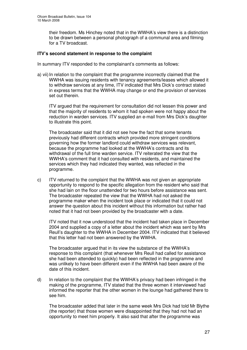their freedom. Ms Hinchey noted that in the WWHA's view there is a distinction to be drawn between a personal photograph of a communal area and filming for a TV broadcast.

#### **ITV's second statement in response to the complaint**

In summary ITV responded to the complainant's comments as follows:

a) vii) In relation to the complaint that the programme incorrectly claimed that the WWHA was issuing residents with tenancy agreements/leases which allowed it to withdraw services at any time, ITV indicated that Mrs Dick's contract stated in express terms that the WWHA may change or end the provision of services set out therein.

ITV argued that the requirement for consultation did not lessen this power and that the majority of residents to whom it had spoken were not happy about the reduction in warden services. ITV supplied an e-mail from Mrs Dick's daughter to illustrate this point.

The broadcaster said that it did not see how the fact that some tenants previously had different contracts which provided more stringent conditions governing how the former landlord could withdraw services was relevant, because the programme had looked at the WWHA's contracts and its withdrawal of the full time warden service. ITV reiterated the view that the WWHA's comment that it had consulted with residents, and maintained the services which they had indicated they wanted, was reflected in the programme.

c) ITV returned to the complaint that the WWHA was not given an appropriate opportunity to respond to the specific allegation from the resident who said that she had lain on the floor unattended for two hours before assistance was sent. The broadcaster repeated the view that the WWHA had not asked the programme maker when the incident took place or indicated that it could not answer the question about this incident without this information but rather had noted that it had not been provided by the broadcaster with a date.

ITV noted that it now understood that the incident had taken place in December 2004 and supplied a copy of a letter about the incident which was sent by Mrs Reull's daughter to the WWHA in December 2004. ITV indicated that it believed that this letter had not been answered by the WWHA.

The broadcaster argued that in its view the substance of the WWHA's response to this complaint (that whenever Mrs Reull had called for assistance she had been attended to quickly) had been reflected in the programme and was unlikely to have been different even if the WWHA had been aware of the date of this incident.

d) In relation to the complaint that the WWHA's privacy had been infringed in the making of the programme, ITV stated that the three women it interviewed had informed the reporter that the other women in the lounge had gathered there to see him.

The broadcaster added that later in the same week Mrs Dick had told Mr Blythe (the reporter) that those women were disappointed that they had not had an opportunity to meet him properly. It also said that after the programme was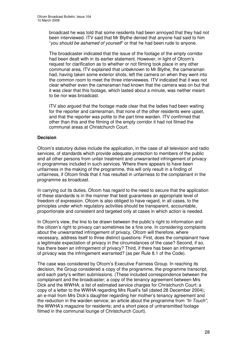broadcast he was told that some residents had been annoyed that they had not been interviewed. ITV said that Mr Blythe denied that anyone had said to him "*you should be ashamed of yourself*" or that he had been rude to anyone.

The broadcaster indicated that the issue of the footage of the empty corridor had been dealt with in its earlier statement. However, in light of Ofcom's request for clarification as to whether or not filming took place in any other communal area, ITV explained that unbeknown to Mr Blythe, the cameraman had, having taken some exterior shots, left the camera on when they went into the common room to meet the three interviewees. ITV indicated that it was not clear whether even the cameraman had known that the camera was on but that it was clear that this footage, which lasted about a minute, was neither meant to be nor was broadcast.

ITV also argued that the footage made clear that the ladies had been waiting for the reporter and cameraman, that none of the other residents were upset, and that the reporter was polite to the part time warden. ITV confirmed that other than this and the filming of the empty corridor it had not filmed the communal areas at Christchurch Court.

#### **Decision**

Ofcom's statutory duties include the application, in the case of all television and radio services, of standards which provide adequate protection to members of the public and all other persons from unfair treatment and unwarranted infringement of privacy in programmes included in such services. Where there appears to have been unfairness in the making of the programme, this will only result in a finding of unfairness, if Ofcom finds that it has resulted in unfairness to the complainant in the programme as broadcast.

In carrying out its duties, Ofcom has regard to the need to secure that the application of these standards is in the manner that best guarantees an appropriate level of freedom of expression. Ofcom is also obliged to have regard, in all cases, to the principles under which regulatory activities should be transparent, accountable, proportionate and consistent and targeted only at cases in which action is needed.

In Ofcom's view, the line to be drawn between the public's right to information and the citizen's right to privacy can sometimes be a fine one. In considering complaints about the unwarranted infringement of privacy, Ofcom will therefore, where necessary, address itself to three distinct questions: First, does the complainant have a legitimate expectation of privacy in the circumstances of the case? Second, if so, has there been an infringement of privacy? Third, if there has been an infringement of privacy was the infringement warranted? (as per Rule 8.1 of the Code).

The case was considered by Ofcom's Executive Fairness Group. In reaching its decision, the Group considered a copy of the programme, the programme transcript, and each party's written submissions. (These included correspondence between the complainant and the broadcaster; a copy of the tenancy agreement between Mrs Dick and the WWHA; a list of estimated service charges for Christchurch Court; a copy of a letter to the WWHA regarding Mrs Ruell's fall (dated 28 December 2004); an e-mail from Mrs Dick's daughter regarding her mother's tenancy agreement and the reduction in the warden service; an article about the programme from *"In Touch"*, the WWHA's magazine for residents; and a short piece of untransmitted footage filmed in the communal lounge of Christchurch Court).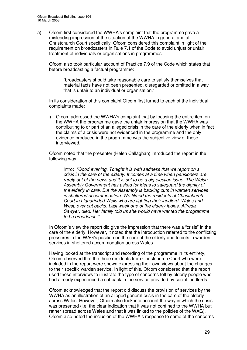a) Ofcom first considered the WWHA's complaint that the programme gave a misleading impression of the situation at the WWHA in general and at Christchurch Court specifically. Ofcom considered this complaint in light of the requirement on broadcasters in Rule 7.1 of the Code to avoid unjust or unfair treatment of individuals or organisations in programmes.

Ofcom also took particular account of Practice 7.9 of the Code which states that before broadcasting a factual programme:

"broadcasters should take reasonable care to satisfy themselves that material facts have not been presented, disregarded or omitted in a way that is unfair to an individual or organisation."

In its consideration of this complaint Ofcom first turned to each of the individual complaints made:

i) Ofcom addressed the WWHA's complaint that by focusing the entire item on the WWHA the programme gave the unfair impression that the WWHA was contributing to or part of an alleged crisis in the care of the elderly when in fact the claims of a crisis were not evidenced in the programme and the only evidence produced in the programme was the subjective view of those interviewed.

Ofcom noted that the presenter (Helen Callaghan) introduced the report in the following way:

Intro: *"Good evening. Tonight it is with sadness that we report on a crisis in the care of the elderly. It comes at a time when pensioners are rarely out of the news and it is set to be a big election issue. The Welsh Assembly Government has asked for ideas to safeguard the dignity of the elderly in care. But the Assembly is backing cuts in warden services in sheltered accommodation. We filmed the residents of Christchurch Court in Llandrindod Wells who are fighting their landlord, Wales and West, over cut backs. Last week one of the elderly ladies, Alfreda Sawyer, died. Her family told us she would have wanted the programme to be broadcast. "*

In Ofcom's view the report did give the impression that there was a "crisis" in the care of the elderly. However, it noted that the introduction referred to the conflicting pressures in the WAG's position on the care of the elderly and to cuts in warden services in sheltered accommodation across Wales.

Having looked at the transcript and recording of the programme in its entirety, Ofcom observed that the three residents from Christchurch Court who were included in the report were shown expressing their own views about the changes to their specific warden service. In light of this, Ofcom considered that the report used these interviews to illustrate the type of concerns felt by elderly people who had already experienced a cut back in the service provided by social landlords.

Ofcom acknowledged that the report did discuss the provision of services by the WWHA as an illustration of an alleged general crisis in the care of the elderly across Wales. However, Ofcom also took into account the way in which the crisis was presented (i.e. the clear indication that it was not confined to the WWHA but rather spread across Wales and that it was linked to the policies of the WAG). Ofcom also noted the inclusion of the WWHA's response to some of the concerns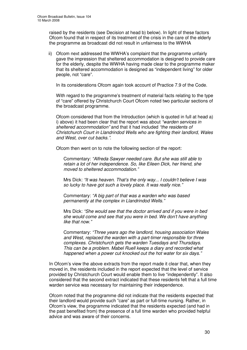raised by the residents (see Decision at head b) below). In light of these factors Ofcom found that in respect of its treatment of the crisis in the care of the elderly the programme as broadcast did not result in unfairness to the WWHA

ii) Ofcom next addressed the WWHA's complaint that the programme unfairly gave the impression that sheltered accommodation is designed to provide care for the elderly, despite the WWHA having made clear to the programme maker that its sheltered accommodation is designed as "independent living" for older people, not "care".

In its considerations Ofcom again took account of Practice 7.9 of the Code.

With regard to the programme's treatment of material facts relating to the type of "care" offered by Christchurch Court Ofcom noted two particular sections of the broadcast programme.

Ofcom considered that from the Introduction (which is quoted in full at head a) i) above) it had been clear that the report was about *"warden services in sheltered accommodation"* and that it had included *"the residents of Christchurch Court in Llandrindod Wells who are fighting their landlord, Wales and West, over cut backs."*.

Ofcom then went on to note the following section of the report:

Commentary: *"Alfreda Sawyer needed care. But she was still able to retain a lot of her independence. So, like Eileen Dick, her friend, she moved to sheltered accommodation."*

Mrs Dick: *"It was heaven. That's the only way... I couldn't believe I was so lucky to have got such a lovely place. It was really nice."*

Commentary: *"A big part of that was a warden who was based permanently at the complex in Llandrindod Wells."*

Mrs Dick: *"She would see that the doctor arrived and if you were in bed she would come and see that you were in bed. We don't have anything like that now."*

Commentary: *"Three years ago the landlord, housing association Wales and West, replaced the warden with a part-timer responsible for three complexes. Christchurch gets the warden Tuesdays and Thursdays. This can be a problem. Mabel Ruell keeps a diary and recorded what happened when a power cut knocked out the hot water for six days."*

In Ofcom's view the above extracts from the report made it clear that, when they moved in, the residents included in the report expected that the level of service provided by Christchurch Court would enable them to live "independently". It also considered that the second extract indicated that these residents felt that a full time warden service was necessary for maintaining their independence.

Ofcom noted that the programme did not indicate that the residents expected that their landlord would provide such "care" as part or full-time nursing. Rather, in Ofcom's view, the programme indicated that the residents expected (and had in the past benefited from) the presence of a full time warden who provided helpful advice and was aware of their concerns.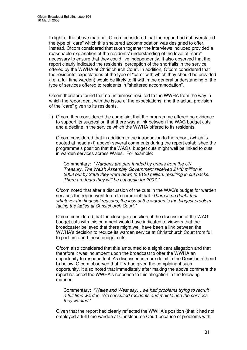In light of the above material, Ofcom considered that the report had not overstated the type of "care" which this sheltered accommodation was designed to offer. Instead, Ofcom considered that taken together the interviews included provided a reasonable explanation of the residents' understanding of the level of "care" necessary to ensure that they could live independently. It also observed that the report clearly indicated the residents' perception of the shortfalls in the service offered by the WWHA at Christchurch Court. In addition, Ofcom considered that the residents' expectations of the type of "care" with which they should be provided (i.e. a full time warden) would be likely to fit within the general understanding of the type of services offered to residents in "sheltered accommodation".

Ofcom therefore found that no unfairness resulted to the WWHA from the way in which the report dealt with the issue of the expectations, and the actual provision of the "care" given to its residents.

iii) Ofcom then considered the complaint that the programme offered no evidence to support its suggestion that there was a link between the WAG budget cuts and a decline in the service which the WWHA offered to its residents.

Ofcom considered that in addition to the introduction to the report, (which is quoted at head a) i) above) several comments during the report established the programme's position that the WAGs' budget cuts might well be linked to cuts in warden services across Wales. For example:

Commentary: *"Wardens are part funded by grants from the UK Treasury. The Welsh Assembly Government received £140 million in 2003 but by 2006 they were down to £120 million, resulting in cut backs. There are fears they will be cut again for 2007."*

Ofcom noted that after a discussion of the cuts in the WAG's budget for warden services the report went to on to comment that *"There is no doubt that whatever the financial reasons, the loss of the warden is the biggest problem facing the ladies at Christchurch Court."*

Ofcom considered that the close juxtaposition of the discussion of the WAG budget cuts with this comment would have indicated to viewers that the broadcaster believed that there might well have been a link between the WWHA's decision to reduce its warden service at Christchurch Court from full to part-time and these budget cuts.

Ofcom also considered that this amounted to a significant allegation and that therefore it was incumbent upon the broadcast to offer the WWHA an opportunity to respond to it. As discussed in more detail in the Decision at head b) below, Ofcom observed that ITV had given the complainant such opportunity. It also noted that immediately after making the above comment the report reflected the WWHA's response to this allegation in the following manner:

Commentary: *"Wales and West say… we had problems trying to recruit a full time warden. We consulted residents and maintained the services they wanted."*

Given that the report had clearly reflected the WWHA's position (that it had not employed a full time warden at Christchurch Court because of problems with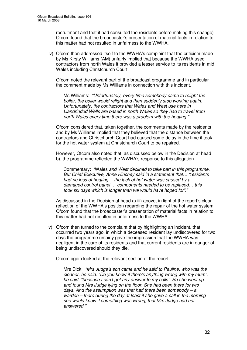recruitment and that it had consulted the residents before making this change) Ofcom found that the broadcaster's presentation of material facts in relation to this matter had not resulted in unfairness to the WWHA.

iv) Ofcom then addressed itself to the WWHA's complaint that the criticism made by Ms Kirsty Williams (AM) unfairly implied that because the WWHA used contractors from north Wales it provided a lesser service to its residents in mid Wales including Christchurch Court.

Ofcom noted the relevant part of the broadcast programme and in particular the comment made by Ms Williams in connection with this incident.

Ms Williams: *"Unfortunately, every time somebody came to relight the boiler, the boiler would relight and then suddenly stop working again. Unfortunately, the contractors that Wales and West use here in Llandrindod Wells are based in north Wales so they had to travel from north Wales every time there was a problem with the heating."*

Ofcom considered that, taken together, the comments made by the residents and by Ms Williams implied that they believed that the distance between the contractors and Christchurch Court had caused some delay in the time it took for the hot water system at Christchurch Court to be repaired.

However, Ofcom also noted that, as discussed below in the Decision at head b), the programme reflected the WWHA's response to this allegation.

Commentary: *"*Wales *and West declined to take part in this programme. But Chief Executive, Anne Hinchey said in a statement that… "residents had no loss of heating… the lack of hot water was caused by a damaged control panel … components needed to be replaced… this took six days which is longer than we would have hoped for"."*

As discussed in the Decision at head a) iii) above, in light of the report's clear reflection of the WWHA's position regarding the repair of the hot water system, Ofcom found that the broadcaster's presentation of material facts in relation to this matter had not resulted in unfairness to the WWHA.

v) Ofcom then turned to the complaint that by highlighting an incident, that occurred two years ago, in which a deceased resident lay undiscovered for two days the programme unfairly gave the impression that the WWHA was negligent in the care of its residents and that current residents are in danger of being undiscovered should they die.

Ofcom again looked at the relevant section of the report:

Mrs Dick: *"Mrs Judge's son came and he said to Pauline, who was the cleaner, he said: "Do you know if there's anything wrong with my mum", he said, "because I can't get any answer to my calls". So she went up and found Mrs Judge lying on the floor. She had been there for two days. And the assumption was that had there been somebody – a warden – there during the day at least if she gave a call in the morning she would know if something was wrong, that Mrs Judge had not answered."*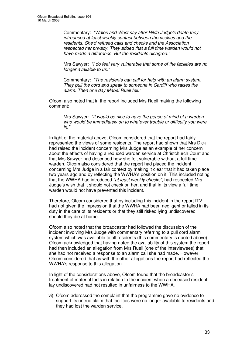Commentary: *"Wales and West say after Hilda Judge's death they introduced at least weekly contact between themselves and the residents. She'd refused calls and checks and the Association respected her privacy. They added that a full time warden would not have made a difference. But the residents disagree."*

Mrs Sawyer: *"I do feel very vulnerable that some of the facilities are no longer available to us."*

Commentary: *"The residents can call for help with an alarm system. They pull the cord and speak to someone in Cardiff who raises the alarm. Then one day Mabel Ruell fell."*

Ofcom also noted that in the report included Mrs Ruell making the following comment:

Mrs Sawyer: *"It would be nice to have the peace of mind of a warden who would be immediately on to whatever trouble or difficulty you were in."*

In light of the material above, Ofcom considered that the report had fairly represented the views of some residents. The report had shown that Mrs Dick had raised the incident concerning Mrs Judge as an example of her concern about the effects of having a reduced warden service at Christchurch Court and that Mrs Sawyer had described how she felt vulnerable without a full time warden. Ofcom also considered that the report had placed the incident concerning Mrs Judge in a fair context by making it clear that it had taken place two years ago and by reflecting the WWHA's position on it. This included noting that the WWHA had introduced *"at least weekly checks"*, had respected Mrs Judge's wish that it should not check on her, and that in its view a full time warden would not have prevented this incident.

Therefore, Ofcom considered that by including this incident in the report ITV had not given the impression that the WWHA had been negligent or failed in its duty in the care of its residents or that they still risked lying undiscovered should they die at home.

Ofcom also noted that the broadcaster had followed the discussion of the incident involving Mrs Judge with commentary referring to a pull cord alarm system which was available to all residents (this commentary is quoted above) Ofcom acknowledged that having noted the availability of this system the report had then included an allegation from Mrs Ruell (one of the interviewees) that she had not received a response to an alarm call she had made. However, Ofcom considered that as with the other allegations the report had reflected the WWHA's response to this allegation.

In light of the considerations above, Ofcom found that the broadcaster's treatment of material facts in relation to the incident when a deceased resident lay undiscovered had not resulted in unfairness to the WWHA.

vi) Ofcom addressed the complaint that the programme gave no evidence to support its untrue claim that facilities were no longer available to residents and they had lost the warden service.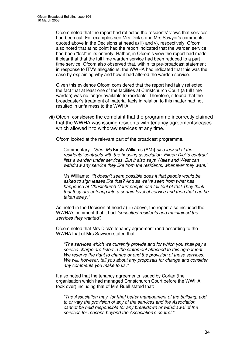Ofcom noted that the report had reflected the residents' views that services had been cut. For examples see Mrs Dick's and Mrs Sawyer's comments quoted above in the Decisions at head a) ii) and v), respectively. Ofcom also noted that at no point had the report indicated that the warden service had been "lost" in its entirety. Rather, in Ofcom's view the report had made it clear that that the full time warden service had been reduced to a part time service. Ofcom also observed that, within its pre-broadcast statement in response to ITV's allegations, the WWHA had indicated that this was the case by explaining why and how it had altered the warden service.

Given this evidence Ofcom considered that the report had fairly reflected the fact that at least one of the facilities at Christchurch Court (a full time warden) was no longer available to residents. Therefore, it found that the broadcaster's treatment of material facts in relation to this matter had not resulted in unfairness to the WWHA.

vii) Ofcom considered the complaint that the programme incorrectly claimed that the WWHA was issuing residents with tenancy agreements/leases which allowed it to withdraw services at any time.

Ofcom looked at the relevant part of the broadcast programme.

Commentary: *"She* [*Ms* Kirsty Williams (AM)] *also looked at the residents' contracts with the housing association. Eileen Dick's contract lists a warden under services. But it also says Wales and West can withdraw any service they like from the residents, whenever they want."*

Ms Williams: *"It doesn't seem possible does it that people would be asked to sign leases like that? And as we've seen from what has happened at Christchurch Court people can fall foul of that.They think that they are entering into a certain level of service and then that can be taken away."*

As noted in the Decision at head a) iii) above, the report also included the WWHA's comment that it had *"consulted residents and maintained the services they wanted"*.

Ofcom noted that Mrs Dick's tenancy agreement (and according to the WWHA that of Mrs Sawyer) stated that:

*"The services which we currently provide and for which you shall pay a service charge are listed in the statement attached to this agreement. We reserve the right to change or end the provision of these services. We will, however, tell you about any proposals for change and consider any comments you make to us."*

It also noted that the tenancy agreements issued by Corlan (the organisation which had managed Christchurch Court before the WWHA took over) including that of Mrs Ruell stated that:

*"The Association may, for [the] better management of the building, add to or vary the provision of any of the services and the Association cannot be held responsible for any breakdown or withdrawal of the services for reasons beyond the Association's control."*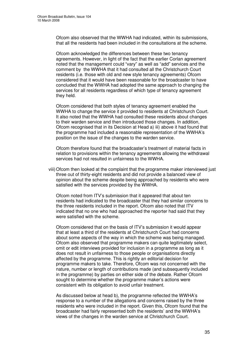Ofcom also observed that the WWHA had indicated, within its submissions, that all the residents had been included in the consultations at the scheme.

Ofcom acknowledged the differences between these two tenancy agreements. However, in light of the fact that the earlier Corlan agreement noted that the management could "vary" as well as "add" services and the comment by the WWHA that it had consulted all the Christchurch Court residents (i.e. those with old and new style tenancy agreements) Ofcom considered that it would have been reasonable for the broadcaster to have concluded that the WWHA had adopted the same approach to changing the services for all residents regardless of which type of tenancy agreement they held.

Ofcom considered that both styles of tenancy agreement enabled the WWHA to change the service it provided to residents at Christchurch Court. It also noted that the WWHA had consulted these residents about changes to their warden service and then introduced those changes. In addition, Ofcom recognised that in its Decision at Head a) iii) above it had found that the programme had included a reasonable representation of the WWHA's position on the issue of the changes to the warden service.

Ofcom therefore found that the broadcaster's treatment of material facts in relation to provisions within the tenancy agreements allowing the withdrawal services had not resulted in unfairness to the WWHA.

viii)Ofcom then looked at the complaint that the programme maker interviewed just three out of thirty-eight residents and did not provide a balanced view of opinion about the scheme despite being approached by residents who were satisfied with the services provided by the WWHA.

Ofcom noted from ITV's submission that it appeared that about ten residents had indicated to the broadcaster that they had similar concerns to the three residents included in the report. Ofcom also noted that ITV indicated that no one who had approached the reporter had said that they were satisfied with the scheme.

Ofcom considered that on the basis of ITV's submission it would appear that at least a third of the residents at Christchurch Court had concerns about some aspects of the way in which the scheme was being managed. Ofcom also observed that programme makers can quite legitimately select, omit or edit interviews provided for inclusion in a programme as long as it does not result in unfairness to those people or organisations directly affected by the programme. This is rightly an editorial decision for programme makers to take. Therefore, Ofcom was not concerned with the nature, number or length of contributions made (and subsequently included in the programme) by parties on either side of the debate. Rather Ofcom sought to determine whether the programme maker's actions were consistent with its obligation to avoid unfair treatment.

As discussed below at head b), the programme reflected the WWHA's response to a number of the allegations and concerns raised by the three residents who were included in the report. Given this, Ofcom found that the broadcaster had fairly represented both the residents' and the WWHA's views of the changes in the warden service at Christchurch Court.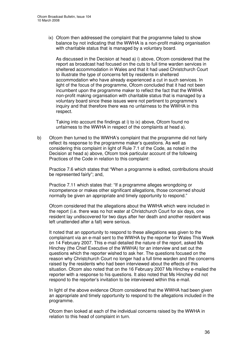ix) Ofcom then addressed the complaint that the programme failed to show balance by not indicating that the WWHA is a non-profit making organisation with charitable status that is managed by a voluntary board.

As discussed in the Decision at head a) i) above, Ofcom considered that the report as broadcast had focused on the cuts to full time warden services in sheltered accommodation in Wales and that it had used Christchurch Court to illustrate the type of concerns felt by residents in sheltered accommodation who have already experienced a cut in such services. In light of the focus of the programme, Ofcom concluded that it had not been incumbent upon the programme maker to reflect the fact that the WWHA non-profit making organisation with charitable status that is managed by a voluntary board since these issues were not pertinent to programme's inquiry and that therefore there was no unfairness to the WWHA in this respect.

Taking into account the findings at i) to ix) above, Ofcom found no unfairness to the WWHA in respect of the complaints at head a).

b) Ofcom then turned to the WWHA's complaint that the programme did not fairly reflect its response to the programme maker's questions. As well as considering this complaint in light of Rule 7.1 of the Code, as noted in the Decision at head a) above, Ofcom took particular account of the following Practices of the Code in relation to this complaint:

Practice 7.6 which states that "When a programme is edited, contributions should be represented fairly"; and,

Practice 7.11 which states that: "If a programme alleges wrongdoing or incompetence or makes other significant allegations, those concerned should normally be given an appropriate and timely opportunity to respond."

Ofcom considered that the allegations about the WWHA which were included in the report (i.e. there was no hot water at Christchurch Court for six days, one resident lay undiscovered for two days after her death and another resident was left unattended after a fall) were serious.

It noted that an opportunity to respond to these allegations was given to the complainant via an e-mail sent to the WWHA by the reporter for Wales This Week on 14 February 2007. This e-mail detailed the nature of the report, asked Ms Hinchey (the Chief Executive of the WWHA) for an interview and set out the questions which the reporter wished to ask her. The questions focused on the reason why Christchurch Court no longer had a full time warden and the concerns raised by the residents who had been interviewed about the effects of this situation. Ofcom also noted that on the 16 February 2007 Ms Hinchey e-mailed the reporter with a response to his questions. It also noted that Ms Hinchey did not respond to the reporter's invitation to be interviewed within this e-mail.

In light of the above evidence Ofcom considered that the WWHA had been given an appropriate and timely opportunity to respond to the allegations included in the programme.

Ofcom then looked at each of the individual concerns raised by the WWHA in relation to this head of complaint in turn.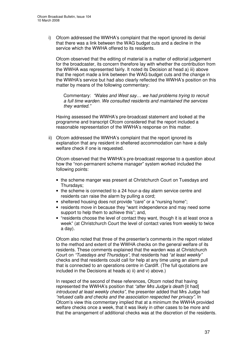i) Ofcom addressed the WWHA's complaint that the report ignored its denial that there was a link between the WAG budget cuts and a decline in the service which the WWHA offered to its residents.

Ofcom observed that the editing of material is a matter of editorial judgement for the broadcaster, its concern therefore lay with whether the contribution from the WWHA was represented fairly. It noted its Decision at head a) iii) above that the report made a link between the WAG budget cuts and the change in the WWHA's service but had also clearly reflected the WWHA's position on this matter by means of the following commentary:

Commentary: *"Wales and West say… we had problems trying to recruit a full time warden. We consulted residents and maintained the services they wanted."*

Having assessed the WWHA's pre-broadcast statement and looked at the programme and transcript Ofcom considered that the report included a reasonable representation of the WWHA's response on this matter.

ii) Ofcom addressed the WWHA's complaint that the report ignored its explanation that any resident in sheltered accommodation can have a daily welfare check if one is requested.

Ofcom observed that the WWHA's pre-broadcast response to a question about how the "non-permanent scheme manager" system worked included the following points:

- the scheme manger was present at Christchurch Court on Tuesdays and Thursdays;
- the scheme is connected to a 24 hour-a-day alarm service centre and residents can raise the alarm by pulling a cord;
- sheltered housing does not provide "care" or a "nursing home":
- residents move in because they "want independence and may need some support to help them to achieve this"; and,
- "residents choose the level of contact they want, though it is at least once a week" (at Christchurch Court the level of contact varies from weekly to twice a day).

Ofcom also noted that three of the presenter's comments in the report related to the method and extent of the WWHA checks on the general welfare of its residents. These comments explained that the warden was at Christchurch Court on *"Tuesdays and Thursdays"*, that residents had *"at least weekly"* checks and that residents could call for help at any time using an alarm pull that is connected to an operations centre in Cardiff. (The full quotations are included in the Decisions at heads a) ii) and v) above.)

In respect of the second of these references, Ofcom noted that having represented the WWHA's position that *"after Mrs Judge's death* [it had] *introduced at least weekly checks"*, the presenter added that Mrs Judge had *"refused calls and checks and the association respected her privacy"*. In Ofcom's view this commentary implied that at a minimum the WWHA provided welfare checks once a week, that it was likely in other cases to be more and that the arrangement of additional checks was at the discretion of the residents.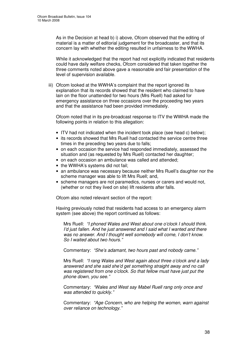As in the Decision at head b) i) above, Ofcom observed that the editing of material is a matter of editorial judgement for the broadcaster, and that its concern lay with whether the editing resulted in unfairness to the WWHA.

While it acknowledged that the report had not explicitly indicated that residents could have daily welfare checks, Ofcom considered that taken together the three comments noted above gave a reasonable and fair presentation of the level of supervision available.

iii) Ofcom looked at the WWHA's complaint that the report ignored its explanation that its records showed that the resident who claimed to have lain on the floor unattended for two hours (Mrs Ruell) had asked for emergency assistance on three occasions over the proceeding two years and that the assistance had been provided immediately.

Ofcom noted that in its pre-broadcast response to ITV the WWHA made the following points in relation to this allegation:

- ITV had not indicated when the incident took place (see head c) below);
- its records showed that Mrs Ruell had contacted the service centre three times in the preceding two years due to falls;
- on each occasion the service had responded immediately, assessed the situation and (as requested by Mrs Ruell) contacted her daughter;
- on each occasion an ambulance was called and attended:
- the WWHA's systems did not fail:
- an ambulance was necessary because neither Mrs Ruell's daughter nor the scheme manager was able to lift Mrs Ruell; and,
- scheme managers are not paramedics, nurses or carers and would not, (whether or not they lived on site) lift residents after falls.

Ofcom also noted relevant section of the report:

Having previously noted that residents had access to an emergency alarm system (see above) the report continued as follows:

Mrs Ruell: *"I phoned Wales and West about one o'clock I should think. I'd just fallen. And he just answered and I said what I wanted and there was no answer. And I thought well somebody will come, I don't know. So I waited about two hours."*

Commentary: *"She's adamant, two hours past and nobody came."*

Mrs Ruell: *"I rang Wales and West again about three o'clock and a lady answered and she said she'd get something straight away and no call was registered from one o'clock. So that fellow must have just put the phone down, you see."*

Commentary: *"Wales and West say Mabel Ruell rang only once and was attended to quickly."*

Commentary: *"Age Concern, who are helping the women, warn against over reliance on technology."*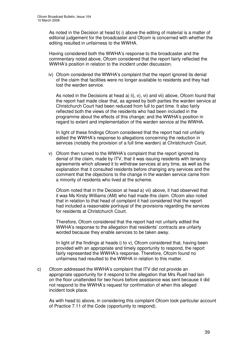As noted in the Decision at head b) i) above the editing of material is a matter of editorial judgement for the broadcaster and Ofcom is concerned with whether the editing resulted in unfairness to the WWHA.

Having considered both the WWHA's response to the broadcaster and the commentary noted above, Ofcom considered that the report fairly reflected the WWHA's position in relation to the incident under discussion.

iv) Ofcom considered the WWHA's complaint that the report ignored its denial of the claim that facilities were no longer available to residents and they had lost the warden service.

As noted in the Decisions at head a) ii),  $v$ ),  $vi$ ) and  $vii$ ) above, Ofcom found that the report had made clear that, as agreed by both parties the warden service at Christchurch Court had been reduced from full to part time. It also fairly reflected both the views of the residents who had been included in the programme about the effects of this change; and the WWHA's position in regard to extent and implementation of the warden service at the WWHA.

In light of these findings Ofcom considered that the report had not unfairly edited the WWHA's response to allegations concerning the reduction in services (notably the provision of a full time warden) at Christchurch Court.

v) Ofcom then turned to the WWHA's complaint that the report ignored its denial of the claim, made by ITV, that it was issuing residents with tenancy agreements which allowed it to withdraw services at any time, as well as the explanation that it consulted residents before changing any services and the comment that the objections to the change in the warden service came from a minority of residents who lived at the scheme.

Ofcom noted that in the Decision at head a) vii) above, it had observed that it was Ms Kirsty Williams (AM) who had made this claim. Ofcom also noted that in relation to that head of complaint it had considered that the report had included a reasonable portrayal of the provisions regarding the services for residents at Christchurch Court.

Therefore, Ofcom considered that the report had not unfairly edited the WWHA's response to the allegation that residents' contracts are unfairly worded because they enable services to be taken away.

In light of the findings at heads i) to  $v$ ), Ofcom considered that, having been provided with an appropriate and timely opportunity to respond, the report fairly represented the WWHA's response. Therefore, Ofcom found no unfairness had resulted to the WWHA in relation to this matter.

c) Ofcom addressed the WWHA's complaint that ITV did not provide an appropriate opportunity for it respond to the allegation that Mrs Ruell had lain on the floor unattended for two hours before assistance was sent because it did not respond to the WWHA's request for confirmation of when this alleged incident took place.

As with head b) above, in considering this complaint Ofcom took particular account of Practice 7.11 of the Code (opportunity to respond).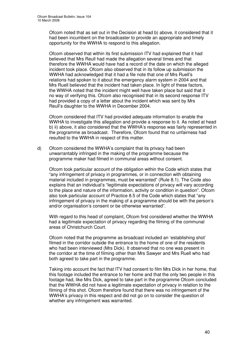Ofcom noted that as set out in the Decision at head b) above, it considered that it had been incumbent on the broadcaster to provide an appropriate and timely opportunity for the WWHA to respond to this allegation.

Ofcom observed that within its first submission ITV had explained that it had believed that Mrs Reull had made the allegation several times and that therefore the WWHA would have had a record of the date on which the alleged incident took place. Ofcom also observed that in its follow up submission the WWHA had acknowledged that it had a file note that one of Mrs Ruell's relations had spoken to it about the emergency alarm system in 2004 and that Mrs Ruell believed that the incident had taken place. In light of these factors, the WWHA noted that the incident might well have taken place but said that it no way of verifying this. Ofcom also recognised that in its second response ITV had provided a copy of a letter about the incident which was sent by Mrs Reull's daughter to the WWHA in December 2004.

Ofcom considered that ITV had provided adequate information to enable the WWHA to investigate this allegation and provide a response to it. As noted at head b) ii) above, it also considered that the WWHA's response was fairly represented in the programme as broadcast. Therefore, Ofcom found that no unfairness had resulted to the WWHA in respect of this matter.

d) Ofcom considered the WWHA's complaint that its privacy had been unwarrantably infringed in the making of the programme because the programme maker had filmed in communal areas without consent.

Ofcom took particular account of the obligation within the Code which states that "any infringement of privacy in programmes, or in connection with obtaining material included in programmes, must be warranted" (Rule 8.1). The Code also explains that an individual's "legitimate expectations of privacy will vary according to the place and nature of the information, activity or condition in question". Ofcom also took particular account of Practice 8.5 of the Code which states that "any infringement of privacy in the making of a programme should be with the person's and/or organisation's consent or be otherwise warranted".

With regard to this head of complaint, Ofcom first considered whether the WWHA had a legitimate expectation of privacy regarding the filming of the communal areas of Christchurch Court.

Ofcom noted that the programme as broadcast included an 'establishing shot' filmed in the corridor outside the entrance to the home of one of the residents who had been interviewed (Mrs Dick). It observed that no one was present in the corridor at the time of filming other than Mrs Sawyer and Mrs Ruell who had both agreed to take part in the programme.

Taking into account the fact that ITV had consent to film Mrs Dick in her home, that this footage included the entrance to her home and that the only two people in this footage had, like Mrs Dick, agreed to take part in the programme Ofcom concluded that the WWHA did not have a legitimate expectation of privacy in relation to the filming of this shot. Ofcom therefore found that there was no infringement of the WWHA's privacy in this respect and did not go on to consider the question of whether any infringement was warranted.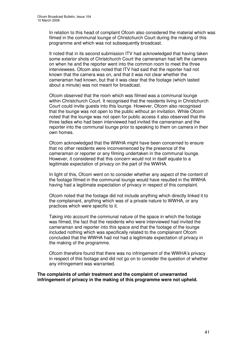In relation to this head of complaint Ofcom also considered the material which was filmed in the communal lounge of Christchurch Court during the making of this programme and which was not subsequently broadcast.

It noted that in its second submission ITV had acknowledged that having taken some exterior shots of Christchurch Court the cameraman had left the camera on when he and the reporter went into the common room to meet the three interviewees. Ofcom also noted that ITV had said that the reporter had not known that the camera was on, and that it was not clear whether the cameraman had known, but that it was clear that the footage (which lasted about a minute) was not meant for broadcast.

Ofcom observed that the room which was filmed was a communal lounge within Christchurch Court. It recognised that the residents living in Christchurch Court could invite guests into this lounge. However, Ofcom also recognised that the lounge was not open to the public without an invitation. While Ofcom noted that the lounge was not open for public access it also observed that the three ladies who had been interviewed had invited the cameraman and the reporter into the communal lounge prior to speaking to them on camera in their own homes.

Ofcom acknowledged that the WWHA might have been concerned to ensure that no other residents were inconvenienced by the presence of the cameraman or reporter or any filming undertaken in the communal lounge. However, it considered that this concern would not in itself equate to a legitimate expectation of privacy on the part of the WWHA.

In light of this, Ofcom went on to consider whether any aspect of the content of the footage filmed in the communal lounge would have resulted in the WWHA having had a legitimate expectation of privacy in respect of this complaint.

Ofcom noted that the footage did not include anything which directly linked it to the complainant, anything which was of a private nature to WWHA, or any practices which were specific to it.

Taking into account the communal nature of the space in which the footage was filmed, the fact that the residents who were interviewed had invited the cameraman and reporter into this space and that the footage of the lounge included nothing which was specifically related to the complainant Ofcom concluded that the WWHA had not had a legitimate expectation of privacy in the making of the programme.

Ofcom therefore found that there was no infringement of the WWHA's privacy in respect of this footage and did not go on to consider the question of whether any infringement was warranted.

**The complaints of unfair treatment and the complaint of unwarranted infringement of privacy in the making of this programme were not upheld.**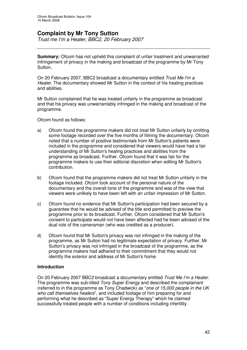## **Complaint by Mr Tony Sutton**

*Trust me I'm a Healer, BBC2, 20 February 2007*

**Summary:** Ofcom has not upheld this complaint of unfair treatment and unwarranted infringement of privacy in the making and broadcast of the programme by Mr Tony Sutton.

On 20 February 2007, BBC2 broadcast a documentary entitled *Trust Me I'm a Healer*. The documentary showed Mr Sutton in the context of his healing practices and abilities.

Mr Sutton complained that he was treated unfairly in the programme as broadcast and that his privacy was unwarrantably infringed in the making and broadcast of the programme.

Ofcom found as follows:

- a) Ofcom found the programme makers did not treat Mr Sutton unfairly by omitting some footage recorded over the five months of filming the documentary. Ofcom noted that a number of positive testimonials from Mr Sutton's patients were included in the programme and considered that viewers would have had a fair understanding of Mr Sutton's healing practices and abilities from the programme as broadcast. Further, Ofcom found that it was fair for the programme makers to use their editorial discretion when editing Mr Sutton's contribution.
- b) Ofcom found that the programme makers did not treat Mr Sutton unfairly in the footage included. Ofcom took account of the personal nature of the documentary and the overall tone of the programme and was of the view that viewers were unlikely to have been left with an unfair impression of Mr Sutton.
- c) Ofcom found no evidence that Mr Sutton's participation had been secured by a guarantee that he would be advised of the title and permitted to preview the programme prior to its broadcast. Further, Ofcom considered that Mr Sutton's consent to participate would not have been affected had he been advised of the dual role of the cameraman (who was credited as a producer).
- d) Ofcom found that Mr Sutton's privacy was not infringed in the making of the programme, as Mr Sutton had no legitimate expectation of privacy. Further, Mr Sutton's privacy was not infringed in the broadcast of the programme, as the programme makers had adhered to their commitment that they would not identify the exterior and address of Mr Sutton's home.

#### **Introduction**

On 20 February 2007 BBC2 broadcast a documentary entitled *Trust Me I'm a Healer*. The programme was sub-titled *Tony Super Energy* and described the complainant (referred to in the programme as Tony Chadwick) as "*one of 15,000 people in the UK who call themselves healers*", and included footage of him preparing for and performing what he described as "Super Energy Therapy" which he claimed successfully treated people with a number of conditions including infertility.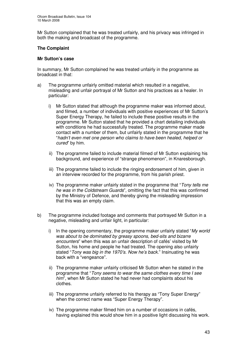Mr Sutton complained that he was treated unfairly, and his privacy was infringed in both the making and broadcast of the programme.

#### **The Complaint**

#### **Mr Sutton's case**

In summary, Mr Sutton complained he was treated unfairly in the programme as broadcast in that:

- a) The programme unfairly omitted material which resulted in a negative, misleading and unfair portrayal of Mr Sutton and his practices as a healer. In particular:
	- i) Mr Sutton stated that although the programme maker was informed about, and filmed, a number of individuals with positive experiences of Mr Sutton's Super Energy Therapy, he failed to include these positive results in the programme. Mr Sutton stated that he provided a chart detailing individuals with conditions he had successfully treated. The programme maker made contact with a number of them, but unfairly stated in the programme that he "*hadn't even met one person who claims to have been healed, helped or cured*" by him.
	- ii) The programme failed to include material filmed of Mr Sutton explaining his background, and experience of "strange phenomenon", in Knaresborough.
	- iii) The programme failed to include the ringing endorsement of him, given in an interview recorded for the programme, from his parish priest.
	- iv) The programme maker unfairly stated in the programme that "*Tony tells me he was in the Coldstream Guards*", omitting the fact that this was confirmed by the Ministry of Defence, and thereby giving the misleading impression that this was an empty claim.
- b) The programme included footage and comments that portrayed Mr Sutton in a negative, misleading and unfair light, in particular:
	- i) In the opening commentary, the programme maker unfairly stated "*My world was about to be dominated by greasy spoons, bed-sits and bizarre encounters*" when this was an unfair description of cafés' visited by Mr Sutton, his home and people he had treated. The opening also unfairly stated "*Tony was big in the 1970's. Now he's back.*" Insinuating he was back with a "vengeance".
	- ii) The programme maker unfairly criticised Mr Sutton when he stated in the programme that "*Tony seems to wear the same clothes every time I see him*", when Mr Sutton stated he had never had complaints about his clothes.
	- iii) The programme unfairly referred to his therapy as "Tony Super Energy" when the correct name was "Super Energy Therapy".
	- iv) The programme maker filmed him on a number of occasions in cafés, having explained this would show him in a positive light discussing his work.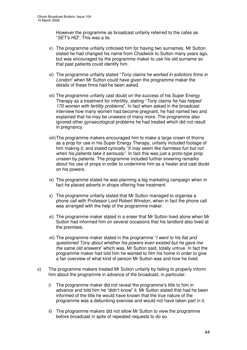However the programme as broadcast unfairly referred to the cafes as "*SET's HQ*". This was a lie.

- v) The programme unfairly criticised him for having two surnames. Mr Sutton stated he had changed his name from Chadwick to Sutton many years ago, but was encouraged by the programme maker to use his old surname so that past patients could identify him.
- vi) The programme unfairly stated "*Tony claims he worked in solicitors firms in London*" when Mr Sutton could have given the programme maker the details of these firms had he been asked.
- vii) The programme unfairly cast doubt on the success of his Super Energy Therapy as a treatment for infertility, stating "*Tony claims he has helped 170 women with fertility problems*". In fact when asked in the broadcast interview how many women had become pregnant, he had named two and explained that he may be unaware of many more. The programme also ignored other gynaecological problems he had treated which did not result in pregnancy.
- viii)The programme makers encouraged him to make a large crown of thorns as a prop for use in his Super Energy Therapy, unfairly included footage of him making it, and stated cynically *"it may seem like harmless fun but not when his patients take it seriously"*. In fact this was just a proto-type prop unseen by patients. The programme included further sneering remarks about his use of props in order to undermine him as a healer and cast doubt on his powers.
- ix) The programme stated he was planning a big marketing campaign when in fact he placed adverts in shops offering free treatment.
- x) The programme unfairly stated that Mr Sutton managed to organise a phone call with Professor Lord Robert Winston, when in fact the phone call was arranged with the help of the programme maker.
- xi) The programme maker stated in a sneer that Mr Sutton lived alone when Mr Sutton had informed him on several occasions that his landlord also lived at the premises.
- xii) The programme maker stated in the programme "*I went to his flat and questioned Tony about whether his powers even existed but he gave me the same old answers*" which was, Mr Sutton said, totally untrue. In fact the programme maker had told him he wanted to film his home in order to give a fair overview of what kind of person Mr Sutton was and how he lived.
- c) The programme makers treated Mr Sutton unfairly by failing to properly inform him about the programme in advance of the broadcast, in particular:
	- i) The programme maker did not reveal the programme's title to him in advance and told him he "didn't know" it. Mr Sutton stated that had he been informed of the title he would have known that the true nature of the programme was a debunking exercise and would not have taken part in it.
	- ii) The programme makers did not allow Mr Sutton to view the programme before broadcast in spite of repeated requests to do so.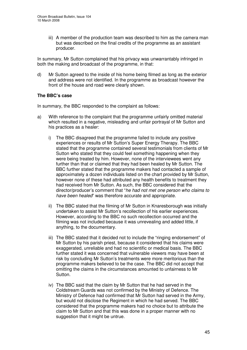iii) A member of the production team was described to him as the camera man but was described on the final credits of the programme as an assistant producer.

In summary, Mr Sutton complained that his privacy was unwarrantably infringed in both the making and broadcast of the programme, in that:

d) Mr Sutton agreed to the inside of his home being filmed as long as the exterior and address were not identified. In the programme as broadcast however the front of the house and road were clearly shown.

#### **The BBC's case**

In summary, the BBC responded to the complaint as follows:

- a) With reference to the complaint that the programme unfairly omitted material which resulted in a negative, misleading and unfair portrayal of Mr Sutton and his practices as a healer:
	- i) The BBC disagreed that the programme failed to include any positive experiences or results of Mr Sutton's Super Energy Therapy. The BBC stated that the programme contained several testimonials from clients of Mr Sutton who stated that they could feel something happening when they were being treated by him. However, none of the interviewees went any further than that or claimed that they had been healed by Mr Sutton. The BBC further stated that the programme makers had contacted a sample of approximately a dozen individuals listed on the chart provided by Mr Sutton, however none of these had attributed any health benefits to treatment they had received from Mr Sutton. As such, the BBC considered that the director/producer's comment that "*he had not met one person who claims to have been healed*" was therefore accurate and appropriate.
	- ii) The BBC stated that the filming of Mr Sutton in Knaresborough was initially undertaken to assist Mr Sutton's recollection of his earlier experiences. However, according to the BBC no such recollection occurred and the filming was not included because it was unrevealing and added little, if anything, to the documentary.
	- iii) The BBC stated that it decided not to include the "ringing endorsement" of Mr Sutton by his parish priest, because it considered that his claims were exaggerated, unreliable and had no scientific or medical basis. The BBC further stated it was concerned that vulnerable viewers may have been at risk by concluding Mr Sutton's treatments were more meritorious than the programme makers believed to be the case. The BBC did not accept that omitting the claims in the circumstances amounted to unfairness to Mr Sutton.
	- iv) The BBC said that the claim by Mr Sutton that he had served in the Coldstream Guards was not confirmed by the Ministry of Defence. The Ministry of Defence had confirmed that Mr Sutton had served in the Army, but would not disclose the Regiment in which he had served. The BBC considered that the programme makers had no choice but to attribute the claim to Mr Sutton and that this was done in a proper manner with no suggestion that it might be untrue.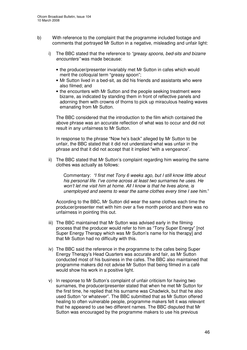- b) With reference to the complaint that the programme included footage and comments that portrayed Mr Sutton in a negative, misleading and unfair light:
	- i) The BBC stated that the reference to *"greasy spoons, bed-sits and bizarre encounters"* was made because:
		- the producer/presenter invariably met Mr Sutton in cafes which would merit the colloquial term "greasy spoon";
		- Mr Sutton lived in a bed-sit, as did his friends and assistants who were also filmed; and
		- the encounters with Mr Sutton and the people seeking treatment were bizarre, as indicated by standing them in front of reflective panels and adorning them with crowns of thorns to pick up miraculous healing waves emanating from Mr Sutton.

The BBC considered that the introduction to the film which contained the above phrase was an accurate reflection of what was to occur and did not result in any unfairness to Mr Sutton.

In response to the phrase "Now he's back" alleged by Mr Sutton to be unfair, the BBC stated that it did not understand what was unfair in the phrase and that it did not accept that it implied "with a vengeance".

ii) The BBC stated that Mr Sutton's complaint regarding him wearing the same clothes was actually as follows:

Commentary: *"I first met Tony 6 weeks ago, but I still know little about his personal life. I've come across at least two surnames he uses. He won't let me visit him at home. All I know is that he lives alone, is unemployed and seems to wear the same clothes every time I see him*."

According to the BBC, Mr Sutton did wear the same clothes each time the producer/presenter met with him over a five month period and there was no unfairness in pointing this out.

- iii) The BBC maintained that Mr Sutton was advised early in the filming process that the producer would refer to him as "Tony Super Energy" [not Super Energy Therapy which was Mr Sutton's name for his therapy] and that Mr Sutton had no difficulty with this.
- iv) The BBC said the reference in the programme to the cafes being Super Energy Therapy's Head Quarters was accurate and fair, as Mr Sutton conducted most of his business in the cafes. The BBC also maintained that programme makers did not advise Mr Sutton that being filmed in a café would show his work in a positive light.
- v) In response to Mr Sutton's complaint of unfair criticism for having two surnames, the producer/presenter stated that when he met Mr Sutton for the first time, he replied that his surname was Chadwick, but that he also used Sutton "or whatever". The BBC submitted that as Mr Sutton offered healing to often vulnerable people, programme makers felt it was relevant that he appeared to use two different names. The BBC disputed that Mr Sutton was encouraged by the programme makers to use his previous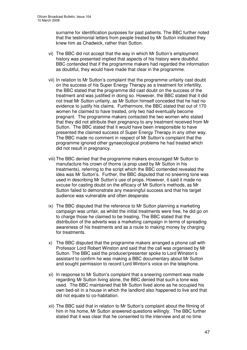surname for identification purposes for past patients. The BBC further noted that the testimonial letters from people treated by Mr Sutton indicated they knew him as Chadwick, rather than Sutton.

- vi) The BBC did not accept that the way in which Mr Sutton's employment history was presented implied that aspects of his history were doubtful. BBC contended that if the programme makers had regarded the information as doubtful, they would have made that clear in the programme.
- vii) In relation to Mr Sutton's complaint that the programme unfairly cast doubt on the success of his Super Energy Therapy as a treatment for infertility, the BBC stated that the programme did cast doubt on the success of the treatment and was justified in doing so. However, the BBC stated that it did not treat Mr Sutton unfairly, as Mr Sutton himself conceded that he had no evidence to justify his claims. Furthermore, the BBC stated that out of 170 women he claimed to have treated, only two had eventually become pregnant. The programme makers contacted the two women who stated that they did not attribute their pregnancy to any treatment received from Mr Sutton. The BBC stated that it would have been irresponsible to have presented the claimed success of Super Energy Therapy in any other way. The BBC made no comment in respect of Mr Sutton's complaint that the programme ignored other gynaecological problems he had treated which did not result in pregnancy.
- viii)The BBC denied that the programme makers encouraged Mr Sutton to manufacture his crown of thorns (a prop used by Mr Sutton in his treatments), referring to the script which the BBC contended revealed the idea was Mr Sutton's. Further, the BBC disputed that no sneering tone was used in describing Mr Sutton's use of props. However, it said it made no excuse for casting doubt on the efficacy of Mr Sutton's methods, as Mr Sutton failed to demonstrate any meaningful success and that his target audience was vulnerable and often desperate.
- ix) The BBC disputed that the reference to Mr Sutton planning a marketing campaign was unfair, as whilst the initial treatments were free, he did go on to charge those he claimed to be treating. The BBC stated that the distribution of the adverts was a marketing campaign in terms of spreading awareness of his treatments and as a route to making money by charging for treatments.
- x) The BBC disputed that the programme makers arranged a phone call with Professor Lord Robert Winston and said that the call was organised by Mr Sutton. The BBC said the producer/presenter spoke to Lord Winston's assistant to confirm he was making a BBC documentary about Mr Sutton and sought permission to record Lord Winton's voice on the telephone.
- xi) In response to Mr Sutton's complaint that a sneering comment was made regarding Mr Sutton living alone, the BBC denied that such a tone was used. The BBC maintained that Mr Sutton lived alone as he occupied his own bed-sit in a house in which the landlord also happened to live and that did not equate to co-habitation.
- xii) The BBC said that in relation to Mr Sutton's complaint about the filming of him in his home, Mr Sutton answered questions willingly. The BBC further stated that it was clear that he consented to the interview and at no time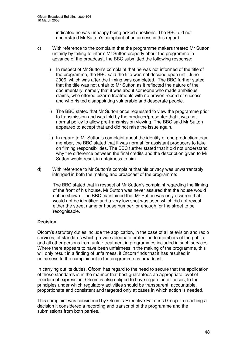indicated he was unhappy being asked questions. The BBC did not understand Mr Sutton's complaint of unfairness in this regard.

- c) With reference to the complaint that the programme makers treated Mr Sutton unfairly by failing to inform Mr Sutton properly about the programme in advance of the broadcast, the BBC submitted the following response:
	- i) In respect of Mr Sutton's complaint that he was not informed of the title of the programme, the BBC said the title was not decided upon until June 2006, which was after the filming was completed. The BBC further stated that the title was not unfair to Mr Sutton as it reflected the nature of the documentary, namely that it was about someone who made ambitious claims, who offered bizarre treatments with no proven record of success and who risked disappointing vulnerable and desperate people.
	- ii) The BBC stated that Mr Sutton once requested to view the programme prior to transmission and was told by the producer/presenter that it was not normal policy to allow pre-transmission viewing. The BBC said Mr Sutton appeared to accept that and did not raise the issue again.
	- iii) In regard to Mr Sutton's complaint about the identity of one production team member, the BBC stated that it was normal for assistant producers to take on filming responsibilities. The BBC further stated that it did not understand why the difference between the final credits and the description given to Mr Sutton would result in unfairness to him.
- d) With reference to Mr Sutton's complaint that his privacy was unwarrantably infringed in both the making and broadcast of the programme:

The BBC stated that in respect of Mr Sutton's complaint regarding the filming of the front of his house, Mr Sutton was never assured that the house would not be shown. The BBC maintained that Mr Sutton was only assured that it would not be identified and a very low shot was used which did not reveal either the street name or house number, or enough for the street to be recognisable.

#### **Decision**

Ofcom's statutory duties include the application, in the case of all television and radio services, of standards which provide adequate protection to members of the public and all other persons from unfair treatment in programmes included in such services. Where there appears to have been unfairness in the making of the programme, this will only result in a finding of unfairness, if Ofcom finds that it has resulted in unfairness to the complainant in the programme as broadcast.

In carrying out its duties, Ofcom has regard to the need to secure that the application of these standards is in the manner that best guarantees an appropriate level of freedom of expression. Ofcom is also obliged to have regard, in all cases, to the principles under which regulatory activities should be transparent, accountable, proportionate and consistent and targeted only at cases in which action is needed.

This complaint was considered by Ofcom's Executive Fairness Group. In reaching a decision it considered a recording and transcript of the programme and the submissions from both parties.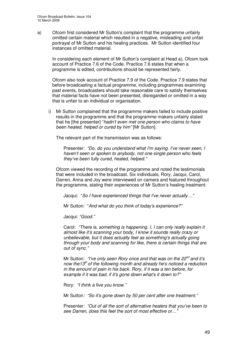a) Ofcom first considered Mr Sutton's complaint that the programme unfairly omitted certain material which resulted in a negative, misleading and unfair portrayal of Mr Sutton and his healing practices. Mr Sutton identified four instances of omitted material.

In considering each element of Mr Sutton's complaint at Head a), Ofcom took account of Practice 7.6 of the Code. Practice 7.6 states that when a programme is edited, contributions should be represented fairly.

Ofcom also took account of Practice 7.9 of the Code. Practice 7.9 states that before broadcasting a factual programme, including programmes examining past events, broadcasters should take reasonable care to satisfy themselves that material facts have not been presented, disregarded or omitted in a way that is unfair to an individual or organisation.

i) Mr Sutton complained that the programme makers failed to include positive results in the programme and that the programme makers unfairly stated that he [the presenter] "*hadn't even met one person who claims to have been healed, helped or cured by him"* [Mr Sutton].

The relevant part of the transmission was as follows:

Presenter: *"Do, do you understand what I'm saying. I've never seen, I haven't seen or spoken to anybody, not one single person who feels they've been fully cured, healed, helped."*

Ofcom viewed the recording of the programme and noted the testimonials that were included in the broadcast. Six individuals, Rory, Jacqui, Carol, Darren, Anna and Joy were interviewed on camera and featured throughout the programme, stating their experiences of Mr Sutton's healing treatment:

Jacqui: "*So I have experienced things that I've never actually…"*

Mr Sutton: "*And what do you think of today's experience?"*

Jacqui: *"Good."*

Carol: *"There is, something is happening. I, I can only really explain it almost like it's scanning your body, I know it sounds really crazy or unbelievable, but it does actually feel as something's actually going through your body and scanning for like, there is certain things that are out of sync."*

Mr Sutton: *"I've only seen Rory once and that was on the 22 nd and it's now the13 th of the following month and already he's noticed a reduction in the amount of pain in his back. Rory, if it was a ten before, for example if it was bad, if it's gone down what's it down to?"*

Rory: *"I think a five you know."*

Mr Sutton*: "So it's gone down by 50 per cent after one treatment."*

Presenter: *"Out of all the sort of alternative healers that you've been to see Darren, does this feel the sort of most effective or…"*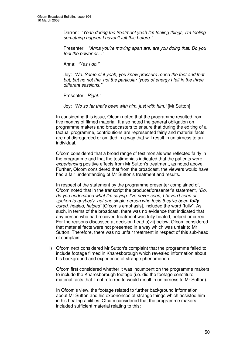Darren: *"Yeah during the treatment yeah I'm feeling things, I'm feeling something happen I haven't felt this before."*

Presenter: *"Anna you're moving apart are, are you doing that. Do you feel the power or…"*

Anna: *"Yes I do."*

Joy: *"No. Some of it yeah, you know pressure round the feet and that but, but no not the, not the particular types of energy I felt in the three different sessions."*

Presenter: *Right."*

Joy: *"No so far that's been with him, just with him."* [Mr Sutton]

In considering this issue, Ofcom noted that the programme resulted from five months of filmed material. It also noted the general obligation on programme makers and broadcasters to ensure that during the editing of a factual programme, contributions are represented fairly and material facts are not disregarded or omitted in a way that will result in unfairness to an individual.

Ofcom considered that a broad range of testimonials was reflected fairly in the programme and that the testimonials indicated that the patients were *experiencing* positive effects from Mr Sutton's treatment, as noted above. Further, Ofcom considered that from the broadcast, the viewers would have had a fair understanding of Mr Sutton's treatment and results.

In respect of the statement by the programme presenter complained of, Ofcom noted that in the transcript the producer/presenter's statement, *"Do, do you understand what I'm saying. I've never seen, I haven't seen or spoken to anybody, not one single person who feels they've been fully cured, healed, helped"* [Ofcom's emphasis], included the word "fully". As such, in terms of the broadcast, there was no evidence that indicated that any person who had received treatment was fully healed, helped or cured. For the reasons discussed at decision head b)vii) below, Ofcom considered that material facts were not presented in a way which was unfair to Mr Sutton. Therefore, there was no unfair treatment in respect of this sub-head of complaint.

ii) Ofcom next considered Mr Sutton's complaint that the programme failed to include footage filmed in Knaresborough which revealed information about his background and experience of strange phenomenon.

Ofcom first considered whether it was incumbent on the programme makers to include the Knaresborough footage (i.e. did the footage constitute material facts that if not referred to would result in unfairness to Mr Sutton).

In Ofcom's view, the footage related to further background information about Mr Sutton and his experiences of strange things which assisted him in his healing abilities. Ofcom considered that the programme makers included sufficient material relating to this: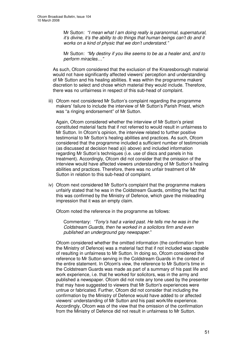Mr Sutton: *"I mean what I am doing really is paranormal, supernatural, it's divine, it's the ability to do things that human beings can't do and it works on a kind of physic that we don't understand."*

Mr Sutton: *"My destiny if you like seems to be as a healer and, and to perform miracles…"*

As such, Ofcom considered that the exclusion of the Knaresborough material would not have significantly affected viewers' perception and understanding of Mr Sutton and his healing abilities. It was within the programme makers' discretion to select and chose which material they would include. Therefore, there was no unfairness in respect of this sub-head of complaint.

iii) Ofcom next considered Mr Sutton's complaint regarding the programme makers' failure to include the interview of Mr Sutton's Parish Priest, which was "a ringing endorsement" of Mr Sutton.

Again, Ofcom considered whether the interview of Mr Sutton's priest constituted material facts that if not referred to would result in unfairness to Mr Sutton. In Ofcom's opinion, the interview related to further positive testimonial to Mr Sutton's healing abilities and practices. As such, Ofcom considered that the programme included a sufficient number of testimonials (as discussed at decision head a)i) above) and included information regarding Mr Sutton's techniques (i.e. use of discs and panels in his treatment). Accordingly, Ofcom did not consider that the omission of the interview would have affected viewers understanding of Mr Sutton's healing abilities and practices. Therefore, there was no unfair treatment of Mr Sutton in relation to this sub-head of complaint.

iv) Ofcom next considered Mr Sutton's complaint that the programme makers unfairly stated that he was in the Coldstream Guards, omitting the fact that this was confirmed by the Ministry of Defence, which gave the misleading impression that it was an empty claim.

Ofcom noted the reference in the programme as follows:

Commentary: *"Tony's had a varied past. He tells me he was in the Coldstream Guards, then he worked in a solicitors firm and even published an underground gay newspaper*."

Ofcom considered whether the omitted information (the confirmation from the Ministry of Defence) was a material fact that if not included was capable of resulting in unfairness to Mr Sutton. In doing so, Ofcom considered the reference to Mr Sutton serving in the Coldstream Guards in the context of the entire statement. In Ofcom's view, the reference to Mr Sutton's time in the Coldstream Guards was made as part of a summary of his past life and work experience, i.e. that he worked for solicitors, was in the army and published a newspaper. Ofcom did not note any tone used by the presenter that may have suggested to viewers that Mr Sutton's experiences were untrue or fabricated. Further, Ofcom did not consider that including the confirmation by the Ministry of Defence would have added to or affected viewers' understanding of Mr Sutton and his past work/life experience. Accordingly, Ofcom was of the view that the omission of the confirmation from the Ministry of Defence did not result in unfairness to Mr Sutton.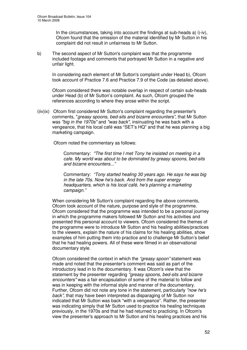In the circumstances, taking into account the findings at sub-heads a) i)-iv), Ofcom found that the omission of the material identified by Mr Sutton in his complaint did not result in unfairness to Mr Sutton.

b) The second aspect of Mr Sutton's complaint was that the programme included footage and comments that portrayed Mr Sutton in a negative and unfair light.

In considering each element of Mr Sutton's complaint under Head b), Ofcom took account of Practice 7.6 and Practice 7.9 of the Code (as detailed above).

Ofcom considered there was notable overlap in respect of certain sub-heads under Head (b) of Mr Sutton's complaint. As such, Ofcom grouped the references according to where they arose within the script.

i)iv)ix) Ofcom first considered Mr Sutton's complaint regarding the presenter's comments, "*greasy spoons, bed-sits and bizarre encounters",* that Mr Sutton was *"big in the 1970s"* and *"was back"*, insinuating he was back with a vengeance, that his local café was "SET's HQ" and that he was planning a big marketing campaign.

Ofcom noted the commentary as follows:

Commentary: *"The first time I met Tony he insisted on meeting in a cafe. My world was about to be dominated by greasy spoons, bed-sits and bizarre encounters..."*

Commentary: *"Tony started healing 30 years ago. He says he was big in the late 70s. Now he's back. And from the super energy headquarters, which is his local café, he's planning a marketing campaign."*

When considering Mr Sutton's complaint regarding the above comments, Ofcom took account of the nature, purpose and style of the programme. Ofcom considered that the programme was intended to be a personal journey in which the programme makers followed Mr Sutton and his activities and presented this personal account to viewers. Ofcom considered the themes of the programme were to introduce Mr Sutton and his healing abilities/practices to the viewers, explain the nature of his claims for his healing abilities, show examples of him putting them into practice and to challenge Mr Sutton's belief that he had healing powers. All of these were filmed in an observational documentary style.

Ofcom considered the context in which the *"greasy spoon"* statement was made and noted that the presenter's comment was said as part of the introductory lead in to the documentary. It was Ofcom's view that the statement by the presenter regarding *"greasy spoons, bed-sits and bizarre encounters"* was a fair encapsulation of some of the material to follow and was in keeping with the informal style and manner of the documentary. Further, Ofcom did not note any tone in the statement, particularly *"now he's back",* that may have been interpreted as disparaging of Mr Sutton nor indicated that Mr Sutton was back "with a vengeance". Rather, the presenter was indicating simply that Mr Sutton used to practice his healing techniques previously, in the 1970s and that he had returned to practicing. In Ofcom's view the presenter's approach to Mr Sutton and his healing practices and his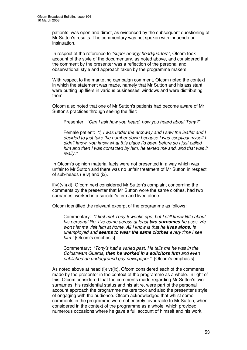patients, was open and direct, as evidenced by the subsequent questioning of Mr Sutton's results. The commentary was not spoken with innuendo or insinuation.

In respect of the reference to *"super energy headquarters"*, Ofcom took account of the style of the documentary, as noted above, and considered that the comment by the presenter was a reflection of the personal and observational style and approach taken by the programme makers.

With respect to the marketing campaign comment, Ofcom noted the context in which the statement was made, namely that Mr Sutton and his assistant were putting up fliers in various businesses' windows and were distributing them.

Ofcom also noted that one of Mr Sutton's patients had become aware of Mr Sutton's practices through seeing the flier:

Presenter: *"Can I ask how you heard, how you heard about Tony?"*

Female patient: *"I, I was under the archway and I saw the leaflet and I decided to just take the number down because I was sceptical myself I didn't know, you know what this place I'd been before so I just called him and then I was contacted by him, he texted me and, and that was it really."*

In Ofcom's opinion material facts were not presented in a way which was unfair to Mr Sutton and there was no unfair treatment of Mr Sutton in respect of sub-heads (i)(iv) and (ix).

ii)v)(vi)(xi) Ofcom next considered Mr Sutton's complaint concerning the comments by the presenter that Mr Sutton wore the same clothes, had two surnames, worked in a solicitor's firm and lived alone.

Ofcom identified the relevant excerpt of the programme as follows:

Commentary: *"I first met Tony 6 weeks ago, but I still know little about his personal life. I've come across at least two surnames he uses. He won't let me visit him at home. All I know is that he lives alone, is unemployed and seems to wear the same clothes every time I see him."* [Ofcom's emphasis]

Commentary: "*Tony's had a varied past. He tells me he was in the Coldstream Guards, then he worked in a solicitors firm and even published an underground gay newspaper*." [Ofcom's emphasis]

As noted above at head  $(i)(iv)(ix)$ , Ofcom considered each of the comments made by the presenter in the context of the programme as a whole. In light of this, Ofcom considered that the comments made regarding Mr Sutton's two surnames, his residential status and his attire, were part of the personal account approach the programme makers took and also the presenter's style of engaging with the audience. Ofcom acknowledged that whilst some comments in the programme were not entirely favourable to Mr Sutton, when considered in the context of the programme as a whole, which provided numerous occasions where he gave a full account of himself and his work,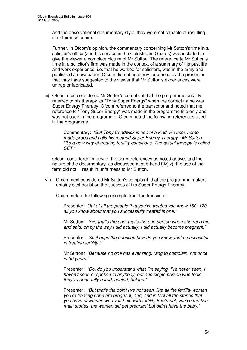and the observational documentary style, they were not capable of resulting in unfairness to him.

Further, in Ofcom's opinion, the commentary concerning Mr Sutton's time in a solicitor's office (and his service in the Coldstream Guards) was included to give the viewer a complete picture of Mr Sutton. The reference to Mr Sutton's time in a solicitor's firm was made in the context of a summary of his past life and work experience, i.e. that he worked for solicitors, was in the army and published a newspaper. Ofcom did not note any tone used by the presenter that may have suggested to the viewer that Mr Sutton's experiences were untrue or fabricated.

iii) Ofcom next considered Mr Sutton's complaint that the programme unfairly referred to his therapy as "Tony Super Energy" when the correct name was Super Energy Therapy. Ofcom referred to the transcript and noted that the reference to "Tony Super Energy" was made in the programme title only and was not used in the programme. Ofcom noted the following references used in the programme:

> Commentary: *"But Tony Chadwick is one of a kind. He uses home made props and calls his method Super Energy Therapy." Mr Sutton: "It's a new way of treating fertility conditions. The actual therapy is called SET."*

Ofcom considered in view of the script references as noted above, and the nature of the documentary, as discussed at sub-head i)iv)ix), the use of the term did not result in unfairness to Mr Sutton.

vii) Ofcom next considered Mr Sutton's complaint, that the programme makers unfairly cast doubt on the success of his Super Energy Therapy.

Ofcom noted the following excerpts from the transcript:

Presenter: *Out of all the people that you've treated you know 150, 170 all you know about that you successfully treated is one."*

Mr Sutton: *"*Yes *that's the one, that's the one person when she rang me and said, oh by the way I did actually, I did actually become pregnant."*

Presenter: *"So it begs the question how do you know you're successful in treating fertility."*

Mr Sutton*: "Because no one has ever rang, rang to complain, not once in 30 years."*

Presenter: *"Do, do you understand what I'm saying. I've never seen, I haven't seen or spoken to anybody, not one single person who feels they've been fully cured, healed, helped."*

Presenter: *"But that's the point I've not seen, like all the fertility women you're treating none are pregnant, and, and in fact all the stories that you have of women who you help with fertility treatment, you've the two main stories, the women did get pregnant but didn't have the baby."*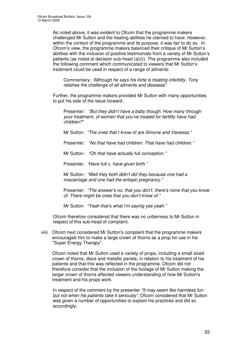As noted above, it was evident to Ofcom that the programme makers challenged Mr Sutton and the healing abilities he claimed to have. However, within the context of the programme and its purpose, it was fair to do so. In Ofcom's view, the programme makers balanced their critique of Mr Sutton's abilities with the inclusion of positive testimonials from a variety of Mr Sutton's patients (as noted at decision sub-head (a)(i)). The programme also included the following comment which communicated to viewers that Mr Sutton's treatment could be used in respect of a range of ailments:

Commentary: *"Although he says his forte is treating infertility, Tony relishes the challenge of all ailments and diseases".*

Further, the programme makers provided Mr Sutton with many opportunities to put his side of the issue forward:

Presenter*: "But they didn't have a baby though. How many through your treatment, of women that you've treated for fertility have had children?"*

Mr Sutton*: "The ones that I know of are Simone and Vanessa."*

Presenter*: "No that have had children. That have had children."*

Mr Sutton*: "Oh that have actually full conception."*

Presenter: *"Have full c, have given birth."*

Mr Sutton*: "Well they both didn't did they because one had a miscarriage and one had the entopic pregnancy."*

Presenter*: "The answer's no, that you don't, there's none that you know of. There might be ones that you don't know of."*

Mr Sutton: *"Yeah that's what I'm saying yes yeah."*

Ofcom therefore considered that there was no unfairness to Mr Sutton in respect of this sub-head of complaint.

viii) Ofcom next considered Mr Sutton's complaint that the programme makers encouraged him to make a large crown of thorns as a prop for use in his "Super Energy Therapy".

Ofcom noted that Mr Sutton used a variety of props, including a small sized crown of thorns, discs and metallic panels, in relation to his treatment of his patients and that this was reflected in the programme. Ofcom did not therefore consider that the inclusion of the footage of Mr Sutton making the larger crown of thorns affected viewers understanding of how Mr Sutton's treatment and his props work.

In respect of the comment by the presenter *"It may seem like harmless fun but not when his patients take it seriously",* Ofcom considered that Mr Sutton was given a number of opportunities to explain his practices and did so accordingly: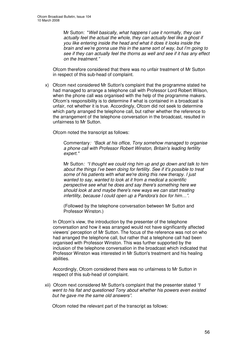Mr Sutton: "*Well basically, what happens I use it normally, they can actually feel the actual the whole, they can actually feel like a ghost if you like entering inside the head and what it does it looks inside the brain and we're gonna use this in the same sort of way, but I'm going to see if they can actually feel the thorns as well and see if it has any effect on the treatment."*

Ofcom therefore considered that there was no unfair treatment of Mr Sutton in respect of this sub-head of complaint.

x) Ofcom next considered Mr Sutton's complaint that the programme stated he had managed to arrange a telephone call with Professor Lord Robert Wilson, when the phone call was organised with the help of the programme makers. Ofcom's responsibility is to determine if what is contained in a broadcast is unfair, not whether it is true. Accordingly, Ofcom did not seek to determine which party arranged the telephone call, but rather whether the reference to the arrangement of the telephone conversation in the broadcast, resulted in unfairness to Mr Sutton.

Ofcom noted the transcript as follows:

Commentary*: "Back at his office, Tony somehow managed to organise a phone call with Professor Robert Winston, Britain's leading fertility expert."*

Mr Sutton*: "I thought we could ring him up and go down and talk to him about the things I've been doing for fertility. See if it's possible to treat some of his patients with what we're doing this new therapy. I just wanted to say, wanted to look at it from a medical a scientific perspective see what he does and say there's something here we should look at and maybe there's new ways we can start treating infertility, because I could open up a Pandora's box for him…".*

(Followed by the telephone conversation between Mr Sutton and Professor Winston.)

In Ofcom's view, the introduction by the presenter of the telephone conversation and how it was arranged would not have significantly affected viewers' perception of Mr Sutton. The focus of the reference was not on who had arranged the telephone call, but rather that a telephone call had been organised with Professor Winston. This was further supported by the inclusion of the telephone conversation in the broadcast which indicated that Professor Winston was interested in Mr Sutton's treatment and his healing abilities.

Accordingly, Ofcom considered there was no unfairness to Mr Sutton in respect of this sub-head of complaint.

xii) Ofcom next considered Mr Sutton's complaint that the presenter stated *"I went to his flat and questioned Tony about whether his powers even existed but he gave me the same old answers"*.

Ofcom noted the relevant part of the transcript as follows: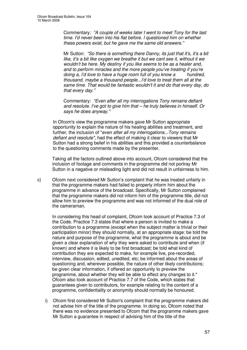Commentary*: "A couple of weeks later I went to meet Tony for the last time. I'd never been into his flat before. I questioned him on whether these powers exist, but he gave me the same old answers."*

Mr Sutton: *"So there is something there Danny, its just that it's, it's a bit like, it's a bit like oxygen we breathe it but we cant see it, without it we wouldn't be here. My destiny if you like seems to be as a healer and, and to perform miracles and the more people you've treating if you're doing a, I'd love to have a huge room full of you know a hundred, thousand, maybe a thousand people...I'd love to treat them all at the same time. That would be fantastic wouldn't it and do that every day, do that every day."*

Commentary: *"Even after all my interrogations Tony remains defiant and resolute. I've got to give him that – he truly believes in himself. Or says he does anyway."*

In Ofcom's view the programme makers gave Mr Sutton appropriate opportunity to explain the nature of his healing abilities and treatment, and further, the inclusion of "*even after all my interrogations...Tony remains defiant and resolute"*, had the effect of making it clear to viewers that Mr Sutton had a strong belief in his abilities and this provided a counterbalance to the questioning comments made by the presenter.

Taking all the factors outlined above into account, Ofcom considered that the inclusion of footage and comments in the programme did not portray Mr Sutton in a negative or misleading light and did not result in unfairness to him.

c) Ofcom next considered Mr Sutton's complaint that he was treated unfairly in that the programme makers had failed to properly inform him about the programme in advance of the broadcast. Specifically, Mr Sutton complained that the programme makers did not inform him of the programme title, did not allow him to preview the programme and was not informed of the dual role of the cameraman.

In considering this head of complaint, Ofcom took account of Practice 7.3 of the Code. Practice 7.3 states that where a person is invited to make a contribution to a programme (except when the subject matter is trivial or their participation minor) they should normally, at an appropriate stage: be told the nature and purpose of the programme, what the programme is about and be given a clear explanation of why they were asked to contribute and when (if known) and where it is likely to be first broadcast; be told what kind of contribution they are expected to make, for example live, pre-recorded, interview, discussion, edited, unedited, etc; be informed about the areas of questioning and, wherever possible, the nature of other likely contributions; be given clear information, if offered an opportunity to preview the programme, about whether they will be able to effect any changes to it." Ofcom also took account of Practice 7.7 of the Code, which states that guarantees given to contributors, for example relating to the content of a programme, confidentiality or anonymity should normally be honoured.

i) Ofcom first considered Mr Sutton's complaint that the programme makers did not advise him of the title of the programme. In doing so, Ofcom noted that there was no evidence presented to Ofcom that the programme makers gave Mr Sutton a guarantee in respect of advising him of the title of the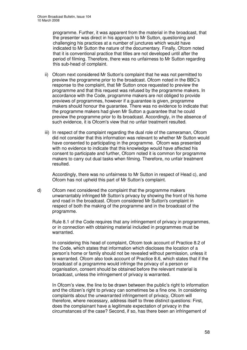programme. Further, it was apparent from the material in the broadcast, that the presenter was direct in his approach to Mr Sutton, questioning and challenging his practices at a number of junctures which would have indicated to Mr Sutton the nature of the documentary. Finally, Ofcom noted that it is conventional practice that titles are not developed until after the period of filming. Therefore, there was no unfairness to Mr Sutton regarding this sub-head of complaint.

- ii) Ofcom next considered Mr Sutton's complaint that he was not permitted to preview the programme prior to the broadcast. Ofcom noted in the BBC's response to the complaint, that Mr Sutton once requested to preview the programme and that this request was refused by the programme makers. In accordance with the Code, programme makers are not obliged to provide previews of programmes, however if a guarantee is given, programme makers should honour the guarantee. There was no evidence to indicate that the programme makers had given Mr Sutton a guarantee that he could preview the programme prior to its broadcast. Accordingly, in the absence of such evidence, it is Ofcom's view that no unfair treatment resulted.
- iii) In respect of the complaint regarding the dual role of the cameraman, Ofcom did not consider that this information was relevant to whether Mr Sutton would have consented to participating in the programme. Ofcom was presented with no evidence to indicate that this knowledge would have affected his consent to participate and further, Ofcom noted it is common for programme makers to carry out dual tasks when filming. Therefore, no unfair treatment resulted.

Accordingly, there was no unfairness to Mr Sutton in respect of Head c), and Ofcom has not upheld this part of Mr Sutton's complaint.

d) Ofcom next considered the complaint that the programme makers unwarrantably infringed Mr Sutton's privacy by showing the front of his home and road in the broadcast. Ofcom considered Mr Sutton's complaint in respect of both the making of the programme and in the broadcast of the programme.

Rule 8.1 of the Code requires that any infringement of privacy in programmes, or in connection with obtaining material included in programmes must be warranted.

In considering this head of complaint, Ofcom took account of Practice 8.2 of the Code, which states that information which discloses the location of a person's home or family should not be revealed without permission, unless it is warranted. Ofcom also took account of Practice 8.6, which states that if the broadcast of a programme would infringe the privacy of a person or organisation, consent should be obtained before the relevant material is broadcast, unless the infringement of privacy is warranted.

In Ofcom's view, the line to be drawn between the public's right to information and the citizen's right to privacy can sometimes be a fine one. In considering complaints about the unwarranted infringement of privacy, Ofcom will therefore, where necessary, address itself to three distinct questions: First, does the complainant have a legitimate expectation of privacy in the circumstances of the case? Second, if so, has there been an infringement of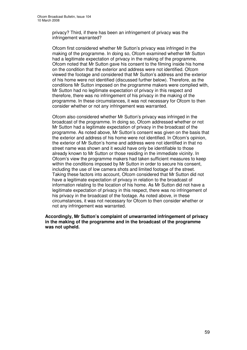privacy? Third, if there has been an infringement of privacy was the infringement warranted?

Ofcom first considered whether Mr Sutton's privacy was infringed in the making of the programme. In doing so, Ofcom examined whether Mr Sutton had a legitimate expectation of privacy in the making of the programme. Ofcom noted that Mr Sutton gave his consent to the filming inside his home on the condition that the exterior and address were not identified. Ofcom viewed the footage and considered that Mr Sutton's address and the exterior of his home were not identified (discussed further below). Therefore, as the conditions Mr Sutton imposed on the programme makers were complied with, Mr Sutton had no legitimate expectation of privacy in this respect and therefore, there was no infringement of his privacy in the making of the programme. In these circumstances, it was not necessary for Ofcom to then consider whether or not any infringement was warranted.

Ofcom also considered whether Mr Sutton's privacy was infringed in the broadcast of the programme. In doing so, Ofcom addressed whether or not Mr Sutton had a legitimate expectation of privacy in the broadcast of the programme. As noted above, Mr Sutton's consent was given on the basis that the exterior and address of his home were not identified. In Ofcom's opinion, the exterior of Mr Sutton's home and address were not identified in that no street name was shown and it would have only be identifiable to those already known to Mr Sutton or those residing in the immediate vicinity. In Ofcom's view the programme makers had taken sufficient measures to keep within the conditions imposed by Mr Sutton in order to secure his consent, including the use of low camera shots and limited footage of the street. Taking these factors into account, Ofcom considered that Mr Sutton did not have a legitimate expectation of privacy in relation to the broadcast of information relating to the location of his home. As Mr Sutton did not have a legitimate expectation of privacy in this respect, there was no infringement of his privacy in the broadcast of the footage. As noted above, in these circumstances, it was not necessary for Ofcom to then consider whether or not any infringement was warranted.

**Accordingly, Mr Sutton's complaint of unwarranted infringement of privacy in the making of the programme and in the broadcast of the programme was not upheld.**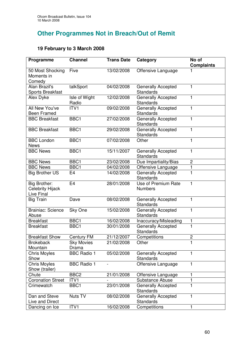# **Other Programmes Not in Breach/Out of Remit**

## **19 February to 3 March 2008**

| Programme                                             | <b>Channel</b>         | <b>Trans Date</b> | Category                                      | No of<br><b>Complaints</b> |
|-------------------------------------------------------|------------------------|-------------------|-----------------------------------------------|----------------------------|
| 50 Most Shocking<br>Moments in<br>Comedy              | Five                   | 13/02/2008        | Offensive Language                            |                            |
| Alan Brazil's<br><b>Sports Breakfast</b>              | talkSport              | 04/02/2008        | <b>Generally Accepted</b><br>Standards        | 1                          |
| <b>Alex Dyke</b>                                      | Isle of Wight<br>Radio | 12/02/2008        | Generally Accepted<br><b>Standards</b>        | 1                          |
| All New You've<br><b>Been Framed</b>                  | ITV1                   | 09/02/2008        | <b>Generally Accepted</b><br>Standards        | 1                          |
| <b>BBC Breakfast</b>                                  | BBC1                   | 27/02/2008        | <b>Generally Accepted</b><br><b>Standards</b> | 1                          |
| <b>BBC Breakfast</b>                                  | BBC1                   | 29/02/2008        | <b>Generally Accepted</b><br>Standards        | 1                          |
| <b>BBC London</b><br><b>News</b>                      | BBC1                   | 07/02/2008        | Other                                         | 1                          |
| <b>BBC News</b>                                       | BBC1                   | 15/11/2007        | <b>Generally Accepted</b><br>Standards        | 1                          |
| <b>BBC News</b>                                       | BBC <sub>1</sub>       | 23/02/2008        | Due Impartiality/Bias                         | $\overline{c}$             |
| <b>BBC News</b>                                       | BBC1                   | 04/02/2008        | Offensive Language                            | 1                          |
| <b>Big Brother US</b>                                 | E <sub>4</sub>         | 14/02/2008        | <b>Generally Accepted</b><br><b>Standards</b> | 1                          |
| Big Brother:<br><b>Celebrity Hijack</b><br>Live Final | E <sub>4</sub>         | 28/01/2008        | Use of Premium Rate<br><b>Numbers</b>         | 1                          |
| <b>Big Train</b>                                      | Dave                   | 08/02/2008        | <b>Generally Accepted</b><br>Standards        | 1                          |
| <b>Brainiac: Science</b><br>Abuse                     | Sky One                | 15/02/2008        | Generally Accepted<br>Standards               | 1                          |
| <b>Breakfast</b>                                      | BBC1                   | 16/02/2008        | Inaccuracy/Misleading                         | 1                          |
| <b>Breakfast</b>                                      | BBC1                   | 30/01/2008        | Generally Accepted<br>Standards               | $\mathbf{1}$               |
| <b>Breakfast Show</b>                                 | <b>Century FM</b>      | 21/12/2007        | Competitions                                  | $\overline{c}$             |
| <b>Brokeback</b><br>Mountain                          | Sky Movies<br>Drama    | 21/02/2008        | Other                                         | 1                          |
| <b>Chris Moyles</b><br>Show                           | <b>BBC Radio 1</b>     | 05/02/2008        | <b>Generally Accepted</b><br><b>Standards</b> | 1                          |
| <b>Chris Moyles</b><br>Show (trailer)                 | <b>BBC Radio 1</b>     | $\overline{a}$    | Offensive Language                            | 1                          |
| Chute                                                 | BBC <sub>2</sub>       | 21/01/2008        | Offensive Language                            | 1                          |
| <b>Coronation Street</b>                              | ITV1                   |                   | <b>Substance Abuse</b>                        | 1                          |
| Crimewatch                                            | BBC1                   | 23/01/2008        | <b>Generally Accepted</b><br><b>Standards</b> | 1                          |
| Dan and Steve<br>Live and Direct                      | Nuts $T\overline{V}$   | 08/02/2008        | <b>Generally Accepted</b><br><b>Standards</b> | 1                          |
| Dancing on Ice                                        | ITV1                   | 16/02/2008        | Competitions                                  | 1                          |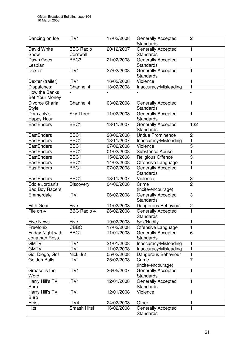| Dancing on Ice                          | ITV1                         | 17/02/2008 | <b>Generally Accepted</b><br>Standards        | $\overline{2}$ |
|-----------------------------------------|------------------------------|------------|-----------------------------------------------|----------------|
| David White<br>Show                     | <b>BBC Radio</b><br>Cornwall | 20/12/2007 | <b>Generally Accepted</b><br><b>Standards</b> | 1              |
| Dawn Goes<br>Lesbian                    | BBC <sub>3</sub>             | 21/02/2008 | Generally Accepted<br>Standards               | 1              |
| Dexter                                  | ITV1                         | 27/02/2008 | Generally Accepted<br>Standards               | 1              |
| Dexter (trailer)                        | ITV1                         | 16/02/2008 | Violence                                      | 1              |
| Dispatches:                             | Channel 4                    | 18/02/2008 | Inaccuracy/Misleading                         | 1              |
| How the Banks<br><b>Bet Your Money</b>  |                              |            |                                               |                |
| Divorce Sharia<br><b>Style</b>          | Channel 4                    | 03/02/2008 | <b>Generally Accepted</b><br><b>Standards</b> | 1              |
| Dom Joly's<br><b>Happy Hour</b>         | <b>Sky Three</b>             | 11/02/2008 | <b>Generally Accepted</b><br>Standards        | 1              |
| EastEnders                              | BBC1                         | 13/11/2007 | <b>Generally Accepted</b><br><b>Standards</b> | 132            |
| EastEnders                              | BBC <sub>1</sub>             | 28/02/2008 | <b>Undue Prominence</b>                       | $\overline{c}$ |
| <b>EastEnders</b>                       | BBC1                         | 13/11/2007 | Inaccuracy/Misleading                         | 1              |
| EastEnders                              | BBC1                         | 07/02/2008 | Violence                                      | 5              |
| EastEnders                              | BBC1                         | 01/02/2008 | Substance Abuse                               | $\mathbf{1}$   |
| EastEnders                              | BBC1                         | 15/02/2008 | <b>Religious Offence</b>                      | 3              |
| EastEnders                              | BBC1                         | 14/02/2008 | Offensive Language                            | 1              |
| EastEnders                              | BBC1                         | 07/02/2008 | Generally Accepted<br>Standards               | 1              |
| EastEnders                              | BBC1                         | 13/11/2007 | Violence                                      | 3              |
| Eddie Jordan's<br><b>Bad Boy Racers</b> | Discovery                    | 04/02/2008 | Crime<br>(incite/encourage)                   | $\overline{2}$ |
| Emmerdale                               | ITV1                         | 06/02/2008 | Generally Accepted<br>Standards               | 3              |
| <b>Fifth Gear</b>                       | Five                         | 11/02/2008 | Dangerous Behaviour                           | $\overline{c}$ |
| File on 4                               | <b>BBC Radio 4</b>           | 26/02/2008 | <b>Generally Accepted</b><br>Standards        | 1              |
| <b>Five News</b>                        | Five                         | 19/02/2008 | Sex/Nudity                                    |                |
| Freefonix                               | <b>CBBC</b>                  | 17/02/2008 | Offensive Language                            | 1              |
| Friday Night with<br>Jonathan Ross      | BBC1                         | 11/01/2008 | <b>Generally Accepted</b><br>Standards        | 6              |
| <b>GMTV</b>                             | ITV1                         | 21/01/2008 | Inaccuracy/Misleading                         | 1              |
| <b>GMTV</b>                             | ITV1                         | 11/02/2008 | Inaccuracy/Misleading                         | 1              |
| Go, Diego, Go!                          | Nick Jr2                     | 05/02/2008 | Dangerous Behaviour                           | 1              |
| <b>Golden Balls</b>                     | ITV1                         | 25/02/2008 | Crime<br>(incite/encourage)                   | $\overline{7}$ |
| Grease is the<br>Word                   | ITV1                         | 26/05/2007 | <b>Generally Accepted</b><br>Standards        | 1              |
| Harry Hill's TV<br><b>Burp</b>          | ITV1                         | 12/01/2008 | <b>Generally Accepted</b><br>Standards        | 1              |
| Harry Hill's TV<br><b>Burp</b>          | ITV1                         | 12/01/2008 | Violence                                      | 1              |
| Heist                                   | ITV4                         | 24/02/2008 | Other                                         | 1              |
| <b>Hits</b>                             | Smash Hits!                  | 16/02/2008 | <b>Generally Accepted</b><br><b>Standards</b> | 1              |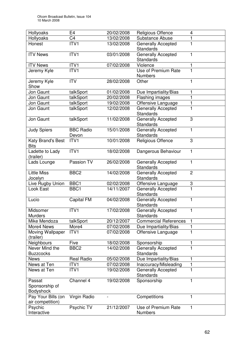| Hollyoaks                                    | E4                        | 20/02/2008 | <b>Religious Offence</b>                      | 4                       |
|----------------------------------------------|---------------------------|------------|-----------------------------------------------|-------------------------|
| Hollyoaks                                    | C <sub>4</sub>            | 13/02/2008 | Substance Abuse                               |                         |
| Honest                                       | ITV1                      | 13/02/2008 | <b>Generally Accepted</b><br>Standards        | 1                       |
| <b>ITV News</b>                              | ITVI                      | 03/01/2008 | Generally Accepted<br><b>Standards</b>        | 1                       |
| <b>ITV News</b>                              | ITV1                      | 07/02/2008 | Violence                                      | 1                       |
| Jeremy Kyle                                  | $\overline{IV1}$          |            | <b>Use of Premium Rate</b><br><b>Numbers</b>  | $\overline{\mathbf{1}}$ |
| Jeremy Kyle<br>Show                          | <b>ITV</b>                | 28/02/2008 | Other                                         | 1                       |
| Jon Gaunt                                    | talkSport                 | 01/02/2008 | Due Impartiality/Bias                         |                         |
| Jon Gaunt                                    | talkSport                 | 20/02/2008 | Flashing images                               |                         |
| Jon Gaunt                                    | talkSport                 | 19/02/2008 | Offensive Language                            | 1                       |
| Jon Gaunt                                    | talkSport                 | 12/02/2008 | Generally Accepted<br>Standards               | 1                       |
| Jon Gaunt                                    | talkSport                 | 11/02/2008 | Generally Accepted<br>Standards               | 3                       |
| <b>Judy Spiers</b>                           | <b>BBC Radio</b><br>Devon | 15/01/2008 | <b>Generally Accepted</b><br>Standards        | 1                       |
| Katy Brand's Best<br><b>Bits</b>             | ITV1                      | 10/01/2008 | <b>Religious Offence</b>                      | 3                       |
| Ladette to Lady<br>(trailer)                 | ITVI                      | 18/02/2008 | Dangerous Behaviour                           | 1                       |
| Lads Lounge                                  | Passion TV                | 26/02/2008 | <b>Generally Accepted</b><br><b>Standards</b> | 1                       |
| <b>Little Miss</b><br>Jocelyn                | BBC <sub>2</sub>          | 14/02/2008 | <b>Generally Accepted</b><br>Standards        | $\overline{c}$          |
| Live Rugby Union                             | BBC1                      | 02/02/2008 | Offensive Language                            | 3                       |
| Look East                                    | BBC1                      | 14/11/2007 | <b>Generally Accepted</b><br>Standards        | 1                       |
| Lucio                                        | Capital FM                | 04/02/2008 | <b>Generally Accepted</b><br><b>Standards</b> | 1                       |
| Midsomer<br><b>Murders</b>                   | ITV1                      | 17/02/2008 | <b>Generally Accepted</b><br>Standards        | 1                       |
| Mike Mendoza                                 | talkSport                 | 20/12/2007 | <b>Commercial References</b>                  | 1                       |
| More4 News                                   | More4                     | 07/02/2008 | Due Impartiality/Bias                         |                         |
| Moving Wallpaper<br>(trailer)                | ITV1                      | 07/02/2008 | Offensive Language                            |                         |
| Neighbours                                   | Five                      | 18/02/2008 | Sponsorship                                   |                         |
| Never Mind the<br><b>Buzzcocks</b>           | BBC <sub>2</sub>          | 14/02/2008 | <b>Generally Accepted</b><br>Standards        | 1                       |
| <b>News</b>                                  | <b>Real Radio</b>         | 05/02/2008 | Due Impartiality/Bias                         | 1                       |
| News at Ten                                  | ITV <sub>1</sub>          | 07/02/2008 | Inaccuracy/Misleading                         | 1                       |
| News at Ten                                  | ITV1                      | 19/02/2008 | <b>Generally Accepted</b><br>Standards        | 1                       |
| Passat<br>Sponsorship of<br><b>Bodyshock</b> | Channel 4                 | 19/02/2008 | Sponsorship                                   | 1                       |
| Pay Your Bills (on<br>air competition)       | Virgin Radio              |            | Competitions                                  | 1                       |
| Psychic<br>Interactive                       | Psychic TV                | 21/12/2007 | Use of Premium Rate<br><b>Numbers</b>         | 1                       |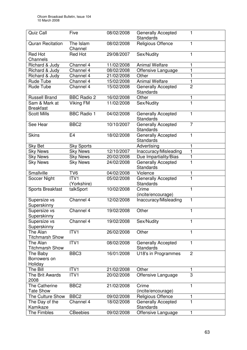| Quiz Call                         | Five                                 | 08/02/2008 | <b>Generally Accepted</b><br><b>Standards</b> |                |
|-----------------------------------|--------------------------------------|------------|-----------------------------------------------|----------------|
| <b>Quran Recitation</b>           | The Islam                            | 08/02/2008 | <b>Religious Offence</b>                      | 1              |
|                                   | Channel                              |            |                                               |                |
| <b>Red Hot</b>                    | <b>Red Hot</b>                       | 29/08/2007 | Sex/Nudity                                    | 1              |
| Channels                          |                                      |            |                                               |                |
| Richard & Judy                    | Channel 4                            | 11/02/2008 | <b>Animal Welfare</b>                         | 1              |
| Richard & Judy                    | Channel 4                            | 08/02/2008 | Offensive Language                            | 1              |
| Richard & Judy                    | Channel 4                            | 21/02/2008 | Other                                         |                |
| Rude Tube                         | Channel 4                            | 15/02/2008 | <b>Animal Welfare</b>                         | 1              |
| Rude Tube                         | Channel 4                            | 15/02/2008 | <b>Generally Accepted</b>                     | $\overline{2}$ |
|                                   |                                      |            | Standards                                     |                |
| <b>Russell Brand</b>              | <b>BBC Radio 2</b>                   | 16/02/2008 | Other                                         | 1<br>1         |
| Sam & Mark at<br><b>Breakfast</b> | Viking FM                            | 11/02/2008 | Sex/Nudity                                    |                |
| <b>Scott Mills</b>                | <b>BBC</b> Radio 1                   | 04/02/2008 | Generally Accepted                            | 1              |
|                                   |                                      |            | Standards                                     |                |
| See Hear                          | BBC <sub>2</sub>                     | 10/10/2007 | <b>Generally Accepted</b>                     | 7              |
|                                   |                                      |            | Standards                                     |                |
| <b>Skins</b>                      | E4                                   | 18/02/2008 | Generally Accepted                            | 1              |
|                                   |                                      |            | Standards                                     |                |
| Sky Bet                           | <b>Sky Sports</b><br><b>Sky News</b> | 12/10/2007 | Advertising                                   | 1<br>1         |
| <b>Sky News</b>                   |                                      |            | Inaccuracy/Misleading                         |                |
| <b>Sky News</b>                   | <b>Sky News</b>                      | 20/02/2008 | Due Impartiality/Bias                         | 1<br>1         |
| <b>Sky News</b>                   | <b>Sky News</b>                      | 24/02/2008 | <b>Generally Accepted</b><br><b>Standards</b> |                |
| Smallville                        | TV <sub>6</sub>                      | 04/02/2008 | Violence                                      | 1              |
| Soccer Night                      | ITV <sub>1</sub><br>(Yorkshire)      | 05/02/2008 | <b>Generally Accepted</b><br>Standards        |                |
| <b>Sports Breakfast</b>           | talkSport                            | 10/02/2008 | Crime                                         | 1              |
|                                   |                                      |            | (incite/encourage)                            |                |
| Supersize vs                      | Channel 4                            | 12/02/2008 | Inaccuracy/Misleading                         | 1              |
| Superskinny                       |                                      |            |                                               |                |
| Supersize vs                      | Channel 4                            | 19/02/2008 | Other                                         | 1              |
| Superskinny                       | Channel 4                            | 19/02/2008 | Sex/Nudity                                    |                |
| Supersize vs<br>Superskinny       |                                      |            |                                               | 1              |
| The Alan                          | ITV1                                 | 26/02/2008 | Other                                         | 1              |
| <b>Titchmarsh Show</b>            |                                      |            |                                               |                |
| The Alan                          | ITV1                                 | 08/02/2008 | Generally Accepted                            | 1              |
| <b>Titchmarsh Show</b>            |                                      |            | Standards                                     |                |
| The Baby                          | BBC <sub>3</sub>                     | 16/01/2008 | U18's in Programmes                           | $\overline{2}$ |
| Borrowers on                      |                                      |            |                                               |                |
| Holiday                           |                                      |            |                                               |                |
| The Bill                          | ITV1                                 | 21/02/2008 | Other                                         | 1              |
| The Brit Awards                   | ITV1                                 | 20/02/2008 | Offensive Language                            | 3              |
| 2008                              |                                      |            |                                               |                |
| <b>The Catherine</b>              | BBC <sub>2</sub>                     | 21/02/2008 | Crime                                         | 1              |
| <b>Tate Show</b>                  |                                      |            | (incite/encourage)                            |                |
| The Culture Show                  | BBC <sub>2</sub>                     | 09/02/2008 | Religious Offence                             | 1              |
| The Day of the                    | Channel 4                            | 18/02/2008 | Generally Accepted                            | 1              |
| Kamikaze                          |                                      |            | Standards                                     |                |
| The Fimbles                       | <b>CBeebies</b>                      | 09/02/2008 | Offensive Language                            | 1              |